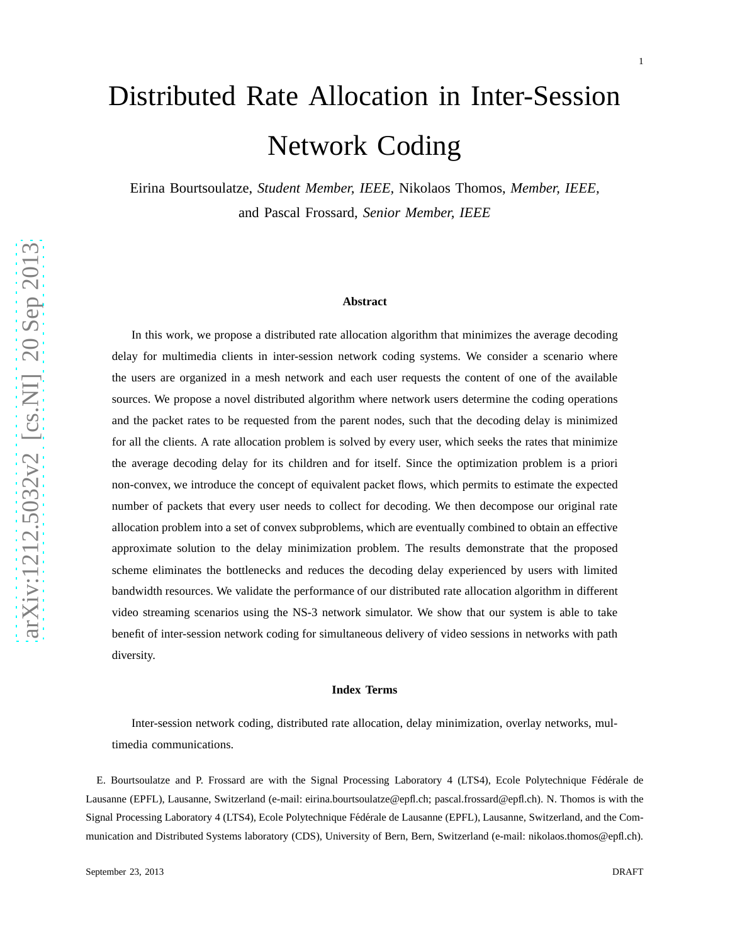# Distributed Rate Allocation in Inter-Session Network Coding

Eirina Bourtsoulatze, *Student Member, IEEE,* Nikolaos Thomos, *Member, IEEE,* and Pascal Frossard, *Senior Member, IEEE*

#### **Abstract**

In this work, we propose a distributed rate allocation algorithm that minimizes the average decoding delay for multimedia clients in inter-session network coding systems. We consider a scenario where the users are organized in a mesh network and each user requests the content of one of the available sources. We propose a novel distributed algorithm where network users determine the coding operations and the packet rates to be requested from the parent nodes, such that the decoding delay is minimized for all the clients. A rate allocation problem is solved by every user, which seeks the rates that minimize the average decoding delay for its children and for itself. Since the optimization problem is a priori non-convex, we introduce the concept of equivalent packet flows, which permits to estimate the expected number of packets that every user needs to collect for decoding. We then decompose our original rate allocation problem into a set of convex subproblems, which are eventually combined to obtain an effective approximate solution to the delay minimization problem. The results demonstrate that the proposed scheme eliminates the bottlenecks and reduces the decoding delay experienced by users with limited bandwidth resources. We validate the performance of our distributed rate allocation algorithm in different video streaming scenarios using the NS-3 network simulator. We show that our system is able to take benefit of inter-session network coding for simultaneous delivery of video sessions in networks with path diversity.

#### **Index Terms**

Inter-session network coding, distributed rate allocation, delay minimization, overlay networks, multimedia communications.

E. Bourtsoulatze and P. Frossard are with the Signal Processing Laboratory 4 (LTS4), Ecole Polytechnique Fédérale de Lausanne (EPFL), Lausanne, Switzerland (e-mail: eirina.bourtsoulatze@epfl.ch; pascal.frossard@epfl.ch). N. Thomos is with the Signal Processing Laboratory 4 (LTS4), Ecole Polytechnique Fédérale de Lausanne (EPFL), Lausanne, Switzerland, and the Communication and Distributed Systems laboratory (CDS), University of Bern, Bern, Switzerland (e-mail: nikolaos.thomos@epfl.ch).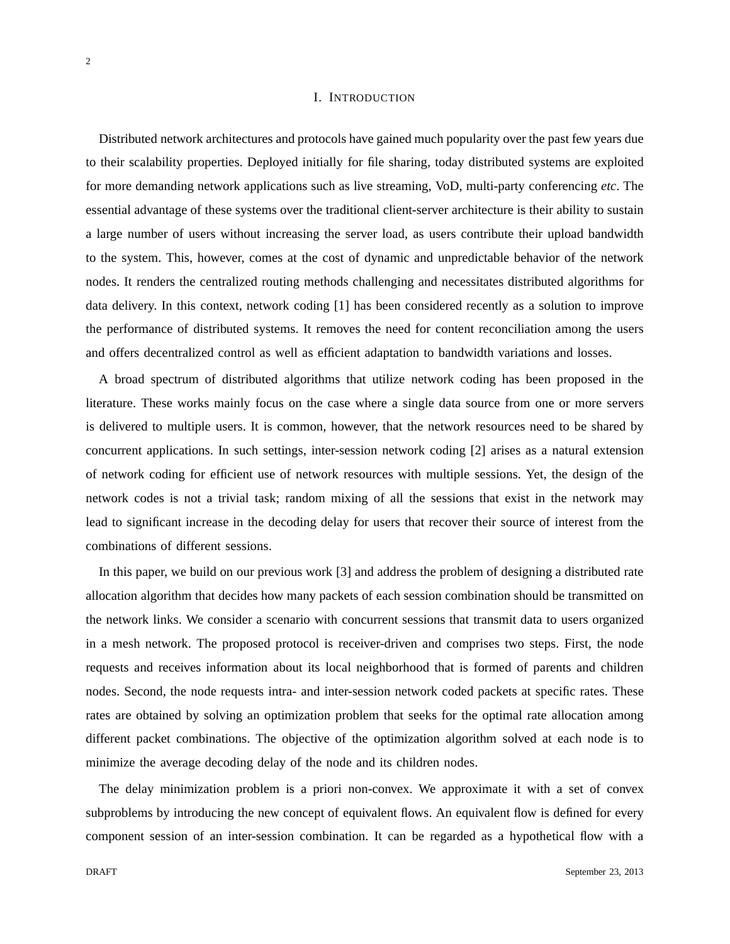## I. INTRODUCTION

Distributed network architectures and protocols have gained much popularity over the past few years due to their scalability properties. Deployed initially for file sharing, today distributed systems are exploited for more demanding network applications such as live streaming, VoD, multi-party conferencing *etc*. The essential advantage of these systems over the traditional client-server architecture is their ability to sustain a large number of users without increasing the server load, as users contribute their upload bandwidth to the system. This, however, comes at the cost of dynamic and unpredictable behavior of the network nodes. It renders the centralized routing methods challenging and necessitates distributed algorithms for data delivery. In this context, network coding [1] has been considered recently as a solution to improve the performance of distributed systems. It removes the need for content reconciliation among the users and offers decentralized control as well as efficient adaptation to bandwidth variations and losses.

A broad spectrum of distributed algorithms that utilize network coding has been proposed in the literature. These works mainly focus on the case where a single data source from one or more servers is delivered to multiple users. It is common, however, that the network resources need to be shared by concurrent applications. In such settings, inter-session network coding [2] arises as a natural extension of network coding for efficient use of network resources with multiple sessions. Yet, the design of the network codes is not a trivial task; random mixing of all the sessions that exist in the network may lead to significant increase in the decoding delay for users that recover their source of interest from the combinations of different sessions.

In this paper, we build on our previous work [3] and address the problem of designing a distributed rate allocation algorithm that decides how many packets of each session combination should be transmitted on the network links. We consider a scenario with concurrent sessions that transmit data to users organized in a mesh network. The proposed protocol is receiver-driven and comprises two steps. First, the node requests and receives information about its local neighborhood that is formed of parents and children nodes. Second, the node requests intra- and inter-session network coded packets at specific rates. These rates are obtained by solving an optimization problem that seeks for the optimal rate allocation among different packet combinations. The objective of the optimization algorithm solved at each node is to minimize the average decoding delay of the node and its children nodes.

The delay minimization problem is a priori non-convex. We approximate it with a set of convex subproblems by introducing the new concept of equivalent flows. An equivalent flow is defined for every component session of an inter-session combination. It can be regarded as a hypothetical flow with a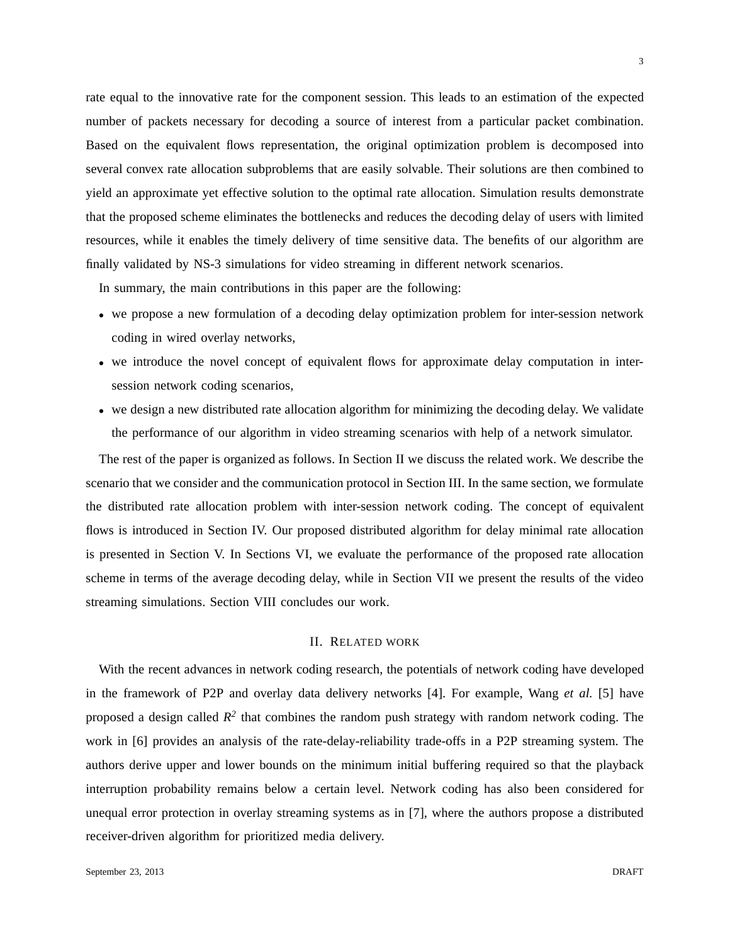rate equal to the innovative rate for the component session. This leads to an estimation of the expected number of packets necessary for decoding a source of interest from a particular packet combination. Based on the equivalent flows representation, the original optimization problem is decomposed into several convex rate allocation subproblems that are easily solvable. Their solutions are then combined to yield an approximate yet effective solution to the optimal rate allocation. Simulation results demonstrate that the proposed scheme eliminates the bottlenecks and reduces the decoding delay of users with limited resources, while it enables the timely delivery of time sensitive data. The benefits of our algorithm are finally validated by NS-3 simulations for video streaming in different network scenarios.

In summary, the main contributions in this paper are the following:

- we propose a new formulation of a decoding delay optimization problem for inter-session network coding in wired overlay networks,
- we introduce the novel concept of equivalent flows for approximate delay computation in intersession network coding scenarios,
- we design a new distributed rate allocation algorithm for minimizing the decoding delay. We validate the performance of our algorithm in video streaming scenarios with help of a network simulator.

The rest of the paper is organized as follows. In Section II we discuss the related work. We describe the scenario that we consider and the communication protocol in Section III. In the same section, we formulate the distributed rate allocation problem with inter-session network coding. The concept of equivalent flows is introduced in Section IV. Our proposed distributed algorithm for delay minimal rate allocation is presented in Section V. In Sections VI, we evaluate the performance of the proposed rate allocation scheme in terms of the average decoding delay, while in Section VII we present the results of the video streaming simulations. Section VIII concludes our work.

## II. RELATED WORK

With the recent advances in network coding research, the potentials of network coding have developed in the framework of P2P and overlay data delivery networks [4]. For example, Wang *et al.* [5] have proposed a design called  $R^2$  that combines the random push strategy with random network coding. The work in [6] provides an analysis of the rate-delay-reliability trade-offs in a P2P streaming system. The authors derive upper and lower bounds on the minimum initial buffering required so that the playback interruption probability remains below a certain level. Network coding has also been considered for unequal error protection in overlay streaming systems as in [7], where the authors propose a distributed receiver-driven algorithm for prioritized media delivery.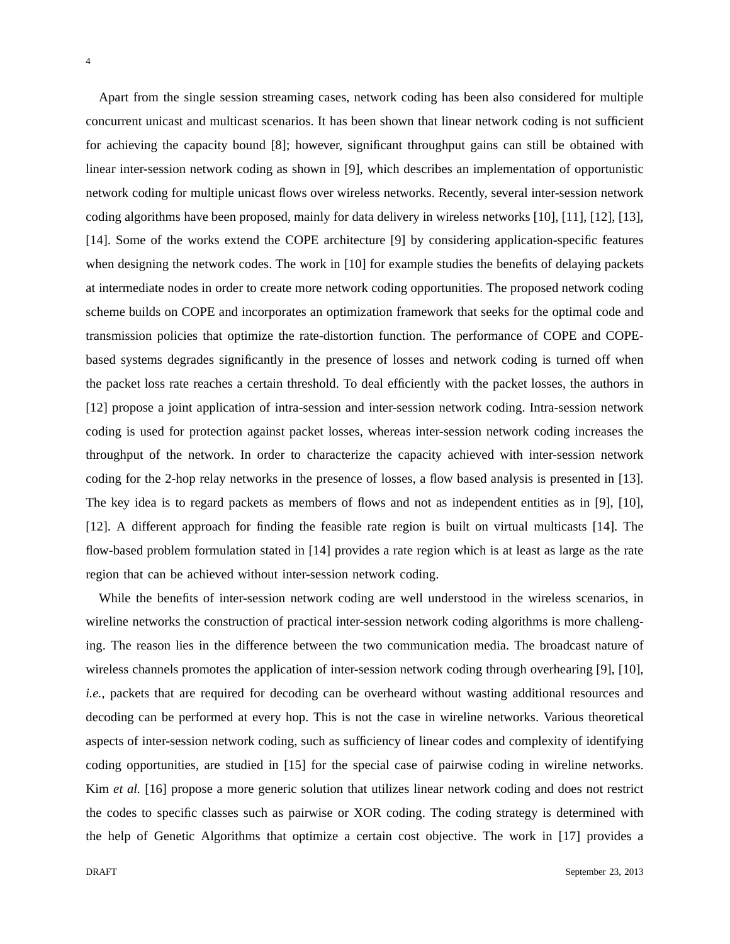Apart from the single session streaming cases, network coding has been also considered for multiple concurrent unicast and multicast scenarios. It has been shown that linear network coding is not sufficient

for achieving the capacity bound [8]; however, significant throughput gains can still be obtained with linear inter-session network coding as shown in [9], which describes an implementation of opportunistic network coding for multiple unicast flows over wireless networks. Recently, several inter-session network coding algorithms have been proposed, mainly for data delivery in wireless networks [10], [11], [12], [13], [14]. Some of the works extend the COPE architecture [9] by considering application-specific features when designing the network codes. The work in [10] for example studies the benefits of delaying packets at intermediate nodes in order to create more network coding opportunities. The proposed network coding scheme builds on COPE and incorporates an optimization framework that seeks for the optimal code and transmission policies that optimize the rate-distortion function. The performance of COPE and COPEbased systems degrades significantly in the presence of losses and network coding is turned off when the packet loss rate reaches a certain threshold. To deal efficiently with the packet losses, the authors in [12] propose a joint application of intra-session and inter-session network coding. Intra-session network coding is used for protection against packet losses, whereas inter-session network coding increases the throughput of the network. In order to characterize the capacity achieved with inter-session network coding for the 2-hop relay networks in the presence of losses, a flow based analysis is presented in [13]. The key idea is to regard packets as members of flows and not as independent entities as in [9], [10], [12]. A different approach for finding the feasible rate region is built on virtual multicasts [14]. The flow-based problem formulation stated in [14] provides a rate region which is at least as large as the rate region that can be achieved without inter-session network coding.

While the benefits of inter-session network coding are well understood in the wireless scenarios, in wireline networks the construction of practical inter-session network coding algorithms is more challenging. The reason lies in the difference between the two communication media. The broadcast nature of wireless channels promotes the application of inter-session network coding through overhearing [9], [10], *i.e.*, packets that are required for decoding can be overheard without wasting additional resources and decoding can be performed at every hop. This is not the case in wireline networks. Various theoretical aspects of inter-session network coding, such as sufficiency of linear codes and complexity of identifying coding opportunities, are studied in [15] for the special case of pairwise coding in wireline networks. Kim *et al.* [16] propose a more generic solution that utilizes linear network coding and does not restrict the codes to specific classes such as pairwise or XOR coding. The coding strategy is determined with the help of Genetic Algorithms that optimize a certain cost objective. The work in [17] provides a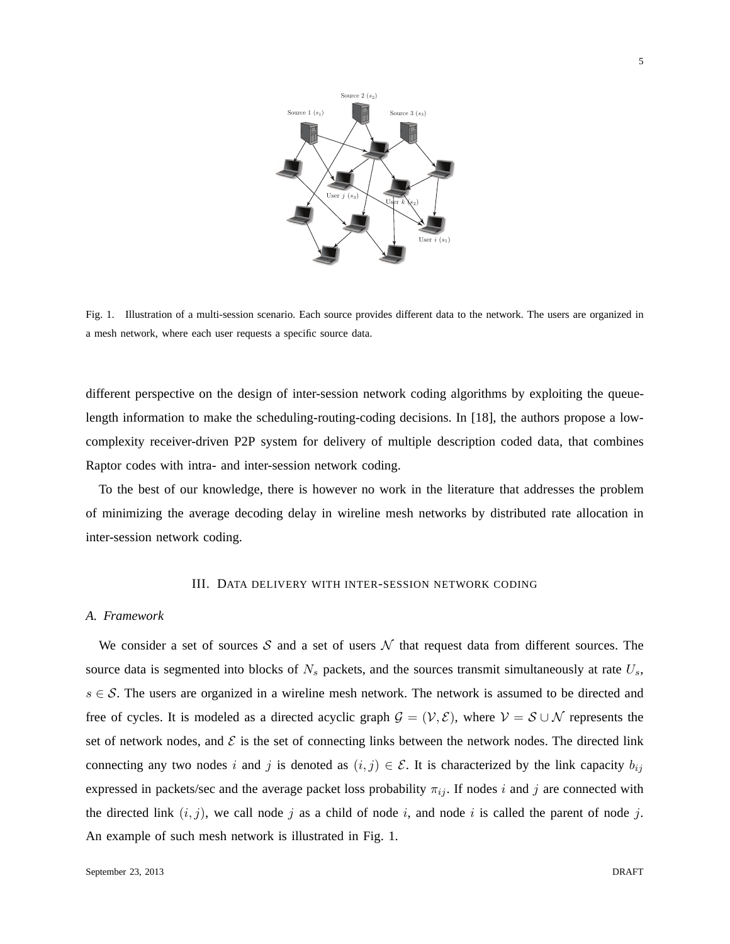

Fig. 1. Illustration of a multi-session scenario. Each source provides different data to the network. The users are organized in a mesh network, where each user requests a specific source data.

different perspective on the design of inter-session network coding algorithms by exploiting the queuelength information to make the scheduling-routing-coding decisions. In [18], the authors propose a lowcomplexity receiver-driven P2P system for delivery of multiple description coded data, that combines Raptor codes with intra- and inter-session network coding.

To the best of our knowledge, there is however no work in the literature that addresses the problem of minimizing the average decoding delay in wireline mesh networks by distributed rate allocation in inter-session network coding.

## III. DATA DELIVERY WITH INTER-SESSION NETWORK CODING

## *A. Framework*

We consider a set of sources S and a set of users  $N$  that request data from different sources. The source data is segmented into blocks of  $N_s$  packets, and the sources transmit simultaneously at rate  $U_s$ ,  $s \in S$ . The users are organized in a wireline mesh network. The network is assumed to be directed and free of cycles. It is modeled as a directed acyclic graph  $\mathcal{G} = (\mathcal{V}, \mathcal{E})$ , where  $\mathcal{V} = \mathcal{S} \cup \mathcal{N}$  represents the set of network nodes, and  $\mathcal E$  is the set of connecting links between the network nodes. The directed link connecting any two nodes i and j is denoted as  $(i, j) \in \mathcal{E}$ . It is characterized by the link capacity  $b_{ij}$ expressed in packets/sec and the average packet loss probability  $\pi_{ij}$ . If nodes i and j are connected with the directed link  $(i, j)$ , we call node j as a child of node i, and node i is called the parent of node j. An example of such mesh network is illustrated in Fig. 1.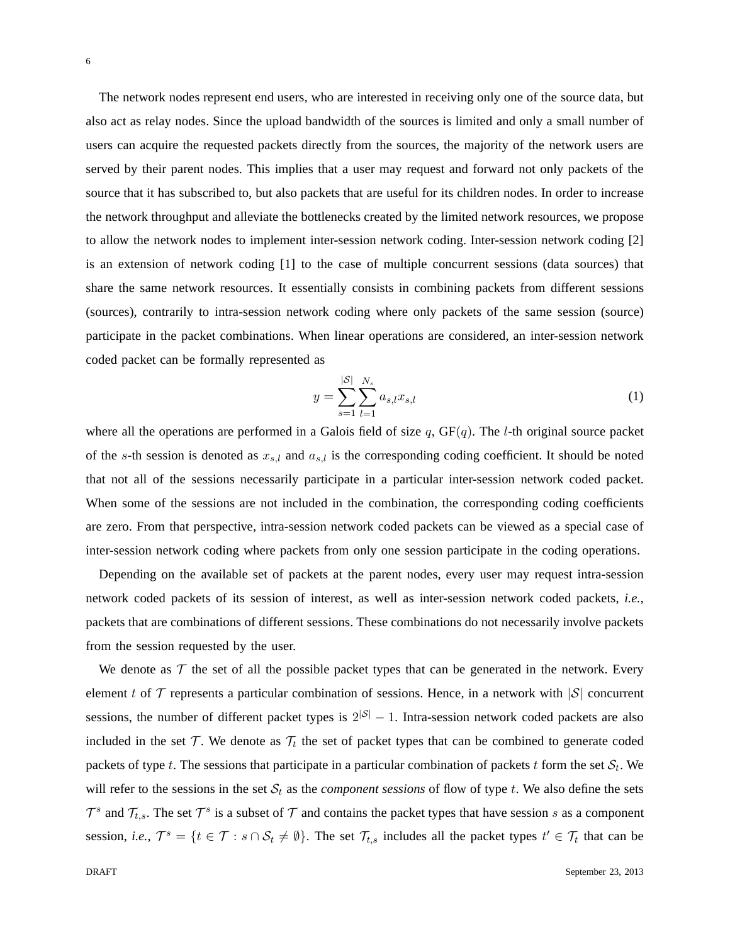The network nodes represent end users, who are interested in receiving only one of the source data, but also act as relay nodes. Since the upload bandwidth of the sources is limited and only a small number of users can acquire the requested packets directly from the sources, the majority of the network users are served by their parent nodes. This implies that a user may request and forward not only packets of the source that it has subscribed to, but also packets that are useful for its children nodes. In order to increase the network throughput and alleviate the bottlenecks created by the limited network resources, we propose to allow the network nodes to implement inter-session network coding. Inter-session network coding [2] is an extension of network coding [1] to the case of multiple concurrent sessions (data sources) that share the same network resources. It essentially consists in combining packets from different sessions (sources), contrarily to intra-session network coding where only packets of the same session (source) participate in the packet combinations. When linear operations are considered, an inter-session network coded packet can be formally represented as

$$
y = \sum_{s=1}^{|\mathcal{S}|} \sum_{l=1}^{N_s} a_{s,l} x_{s,l} \tag{1}
$$

where all the operations are performed in a Galois field of size q,  $GF(q)$ . The *l*-th original source packet of the s-th session is denoted as  $x_{s,l}$  and  $a_{s,l}$  is the corresponding coding coefficient. It should be noted that not all of the sessions necessarily participate in a particular inter-session network coded packet. When some of the sessions are not included in the combination, the corresponding coding coefficients are zero. From that perspective, intra-session network coded packets can be viewed as a special case of inter-session network coding where packets from only one session participate in the coding operations.

Depending on the available set of packets at the parent nodes, every user may request intra-session network coded packets of its session of interest, as well as inter-session network coded packets, *i.e.*, packets that are combinations of different sessions. These combinations do not necessarily involve packets from the session requested by the user.

We denote as  $\mathcal T$  the set of all the possible packet types that can be generated in the network. Every element t of  $\mathcal T$  represents a particular combination of sessions. Hence, in a network with  $|\mathcal S|$  concurrent sessions, the number of different packet types is  $2^{|S|} - 1$ . Intra-session network coded packets are also included in the set  $\mathcal T$ . We denote as  $\mathcal T_t$  the set of packet types that can be combined to generate coded packets of type t. The sessions that participate in a particular combination of packets t form the set  $\mathcal{S}_t$ . We will refer to the sessions in the set  $S_t$  as the *component sessions* of flow of type t. We also define the sets  $\mathcal{T}^s$  and  $\mathcal{T}_{t,s}$ . The set  $\mathcal{T}^s$  is a subset of  $\mathcal T$  and contains the packet types that have session s as a component session, *i.e.*,  $\mathcal{T}^s = \{t \in \mathcal{T} : s \cap \mathcal{S}_t \neq \emptyset\}$ . The set  $\mathcal{T}_{t,s}$  includes all the packet types  $t' \in \mathcal{T}_t$  that can be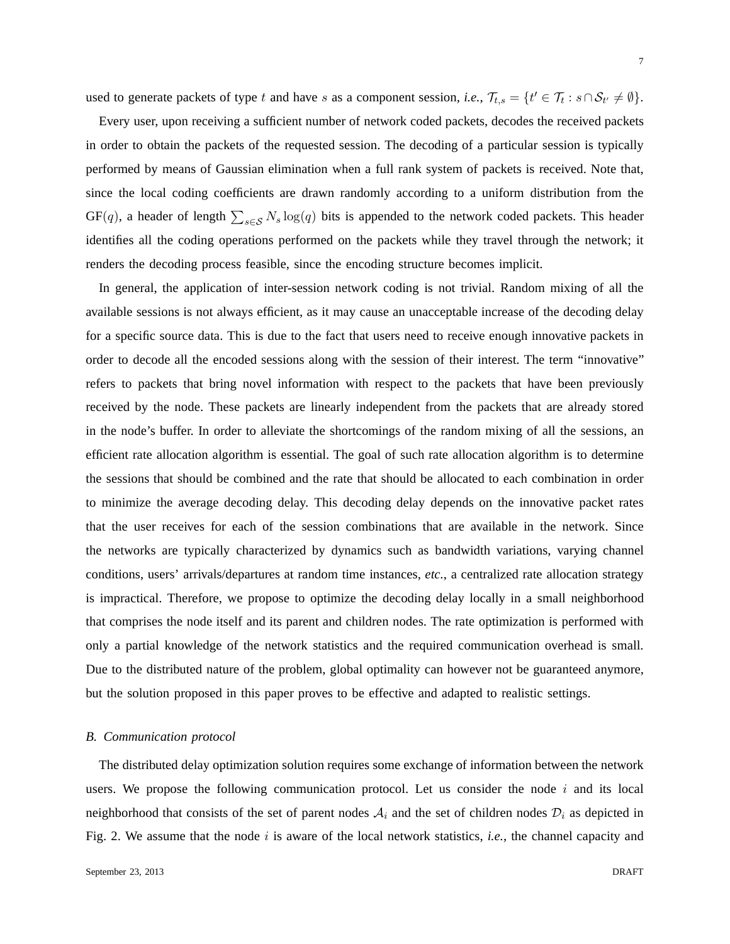used to generate packets of type t and have s as a component session, *i.e.*,  $\mathcal{T}_{t,s} = \{t' \in \mathcal{T}_t : s \cap \mathcal{S}_{t'} \neq \emptyset\}.$ 

Every user, upon receiving a sufficient number of network coded packets, decodes the received packets in order to obtain the packets of the requested session. The decoding of a particular session is typically performed by means of Gaussian elimination when a full rank system of packets is received. Note that, since the local coding coefficients are drawn randomly according to a uniform distribution from the  $GF(q)$ , a header of length  $\sum_{s \in \mathcal{S}} N_s \log(q)$  bits is appended to the network coded packets. This header identifies all the coding operations performed on the packets while they travel through the network; it renders the decoding process feasible, since the encoding structure becomes implicit.

In general, the application of inter-session network coding is not trivial. Random mixing of all the available sessions is not always efficient, as it may cause an unacceptable increase of the decoding delay for a specific source data. This is due to the fact that users need to receive enough innovative packets in order to decode all the encoded sessions along with the session of their interest. The term "innovative" refers to packets that bring novel information with respect to the packets that have been previously received by the node. These packets are linearly independent from the packets that are already stored in the node's buffer. In order to alleviate the shortcomings of the random mixing of all the sessions, an efficient rate allocation algorithm is essential. The goal of such rate allocation algorithm is to determine the sessions that should be combined and the rate that should be allocated to each combination in order to minimize the average decoding delay. This decoding delay depends on the innovative packet rates that the user receives for each of the session combinations that are available in the network. Since the networks are typically characterized by dynamics such as bandwidth variations, varying channel conditions, users' arrivals/departures at random time instances, *etc.*, a centralized rate allocation strategy is impractical. Therefore, we propose to optimize the decoding delay locally in a small neighborhood that comprises the node itself and its parent and children nodes. The rate optimization is performed with only a partial knowledge of the network statistics and the required communication overhead is small. Due to the distributed nature of the problem, global optimality can however not be guaranteed anymore, but the solution proposed in this paper proves to be effective and adapted to realistic settings.

## *B. Communication protocol*

The distributed delay optimization solution requires some exchange of information between the network users. We propose the following communication protocol. Let us consider the node  $i$  and its local neighborhood that consists of the set of parent nodes  $A_i$  and the set of children nodes  $D_i$  as depicted in Fig. 2. We assume that the node i is aware of the local network statistics, *i.e.*, the channel capacity and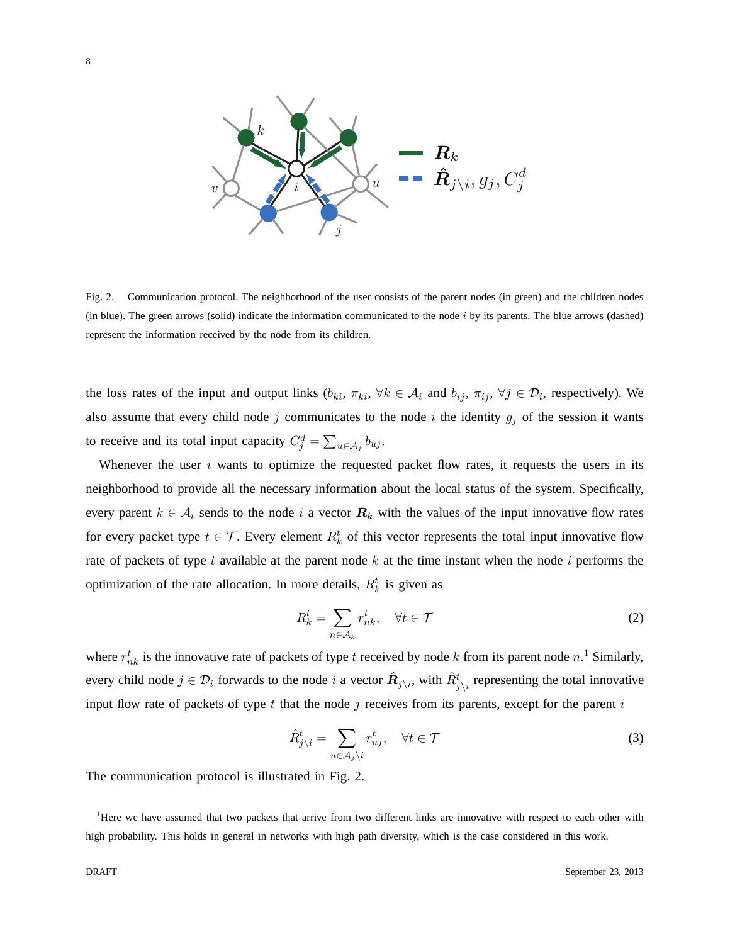

Fig. 2. Communication protocol. The neighborhood of the user consists of the parent nodes (in green) and the children nodes (in blue). The green arrows (solid) indicate the information communicated to the node  $i$  by its parents. The blue arrows (dashed) represent the information received by the node from its children.

the loss rates of the input and output links  $(b_{ki}, \pi_{ki}, \forall k \in A_i$  and  $b_{ij}, \pi_{ij}, \forall j \in D_i$ , respectively). We also assume that every child node j communicates to the node i the identity  $g_j$  of the session it wants to receive and its total input capacity  $C_j^d = \sum_{u \in A_j} b_{uj}$ .

Whenever the user  $i$  wants to optimize the requested packet flow rates, it requests the users in its neighborhood to provide all the necessary information about the local status of the system. Specifically, every parent  $k \in A_i$  sends to the node i a vector  $R_k$  with the values of the input innovative flow rates for every packet type  $t \in \mathcal{T}$ . Every element  $R_k^t$  of this vector represents the total input innovative flow rate of packets of type t available at the parent node  $k$  at the time instant when the node  $i$  performs the optimization of the rate allocation. In more details,  $R_k^t$  is given as

$$
R_k^t = \sum_{n \in \mathcal{A}_k} r_{nk}^t, \quad \forall t \in \mathcal{T}
$$
 (2)

where  $r_{nk}^t$  is the innovative rate of packets of type t received by node k from its parent node  $n<sup>1</sup>$  Similarly, every child node  $j \in \mathcal{D}_i$  forwards to the node i a vector  $\hat{R}_{j\setminus i}$ , with  $\hat{R}_{j\setminus i}^t$  representing the total innovative input flow rate of packets of type t that the node j receives from its parents, except for the parent i

$$
\hat{R}_{j\backslash i}^{t} = \sum_{u \in \mathcal{A}_{j}\backslash i} r_{uj}^{t}, \quad \forall t \in \mathcal{T}
$$
\n(3)

The communication protocol is illustrated in Fig. 2.

<sup>1</sup>Here we have assumed that two packets that arrive from two different links are innovative with respect to each other with high probability. This holds in general in networks with high path diversity, which is the case considered in this work.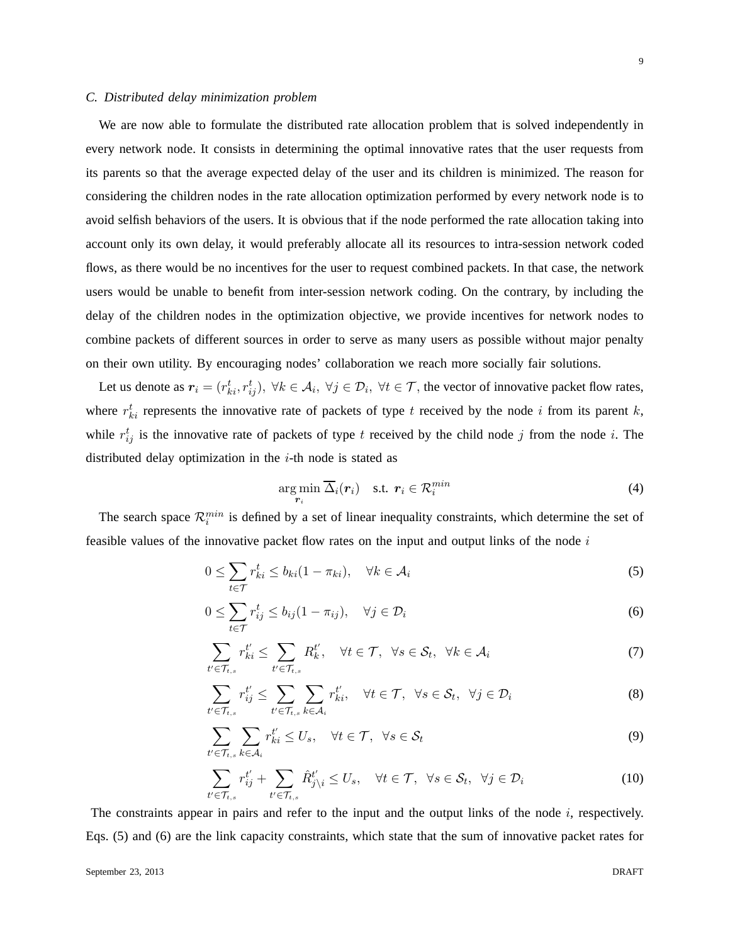## *C. Distributed delay minimization problem*

We are now able to formulate the distributed rate allocation problem that is solved independently in every network node. It consists in determining the optimal innovative rates that the user requests from its parents so that the average expected delay of the user and its children is minimized. The reason for considering the children nodes in the rate allocation optimization performed by every network node is to avoid selfish behaviors of the users. It is obvious that if the node performed the rate allocation taking into account only its own delay, it would preferably allocate all its resources to intra-session network coded flows, as there would be no incentives for the user to request combined packets. In that case, the network users would be unable to benefit from inter-session network coding. On the contrary, by including the delay of the children nodes in the optimization objective, we provide incentives for network nodes to combine packets of different sources in order to serve as many users as possible without major penalty on their own utility. By encouraging nodes' collaboration we reach more socially fair solutions.

Let us denote as  $r_i = (r_{ki}^t, r_{ij}^t), \forall k \in A_i, \forall j \in \mathcal{D}_i, \forall t \in \mathcal{T}$ , the vector of innovative packet flow rates, where  $r_{ki}^t$  represents the innovative rate of packets of type t received by the node i from its parent k, while  $r_{ij}^t$  is the innovative rate of packets of type t received by the child node j from the node i. The distributed delay optimization in the  $i$ -th node is stated as

$$
\underset{\mathbf{r}_i}{\arg\min} \ \overline{\Delta}_i(\mathbf{r}_i) \quad \text{s.t.} \ \mathbf{r}_i \in \mathcal{R}_i^{min} \tag{4}
$$

The search space  $\mathcal{R}_i^{min}$  is defined by a set of linear inequality constraints, which determine the set of feasible values of the innovative packet flow rates on the input and output links of the node  $i$ 

$$
0 \le \sum_{t \in \mathcal{T}} r_{ki}^t \le b_{ki} (1 - \pi_{ki}), \quad \forall k \in \mathcal{A}_i
$$
 (5)

$$
0 \le \sum_{t \in \mathcal{T}} r_{ij}^t \le b_{ij} (1 - \pi_{ij}), \quad \forall j \in \mathcal{D}_i
$$
 (6)

$$
\sum_{t' \in \mathcal{T}_{t,s}} r_{ki}^{t'} \le \sum_{t' \in \mathcal{T}_{t,s}} R_k^{t'}, \quad \forall t \in \mathcal{T}, \ \ \forall s \in \mathcal{S}_t, \ \ \forall k \in \mathcal{A}_i
$$

$$
\sum_{t' \in \mathcal{T}_{t,s}} r_{ij}^{t'} \le \sum_{t' \in \mathcal{T}_{t,s}} \sum_{k \in \mathcal{A}_i} r_{ki}^{t'}, \quad \forall t \in \mathcal{T}, \ \forall s \in \mathcal{S}_t, \ \forall j \in \mathcal{D}_i
$$
 (8)

$$
\sum_{t' \in \mathcal{T}_{t,s}} \sum_{k \in \mathcal{A}_i} r_{ki}^{t'} \le U_s, \quad \forall t \in \mathcal{T}, \ \ \forall s \in \mathcal{S}_t
$$
\n
$$
\tag{9}
$$

$$
\sum_{t' \in \mathcal{T}_{t,s}} r_{ij}^{t'} + \sum_{t' \in \mathcal{T}_{t,s}} \hat{R}_{j \setminus i}^{t'} \le U_s, \quad \forall t \in \mathcal{T}, \ \forall s \in \mathcal{S}_t, \ \forall j \in \mathcal{D}_i
$$
\n
$$
(10)
$$

The constraints appear in pairs and refer to the input and the output links of the node  $i$ , respectively. Eqs. (5) and (6) are the link capacity constraints, which state that the sum of innovative packet rates for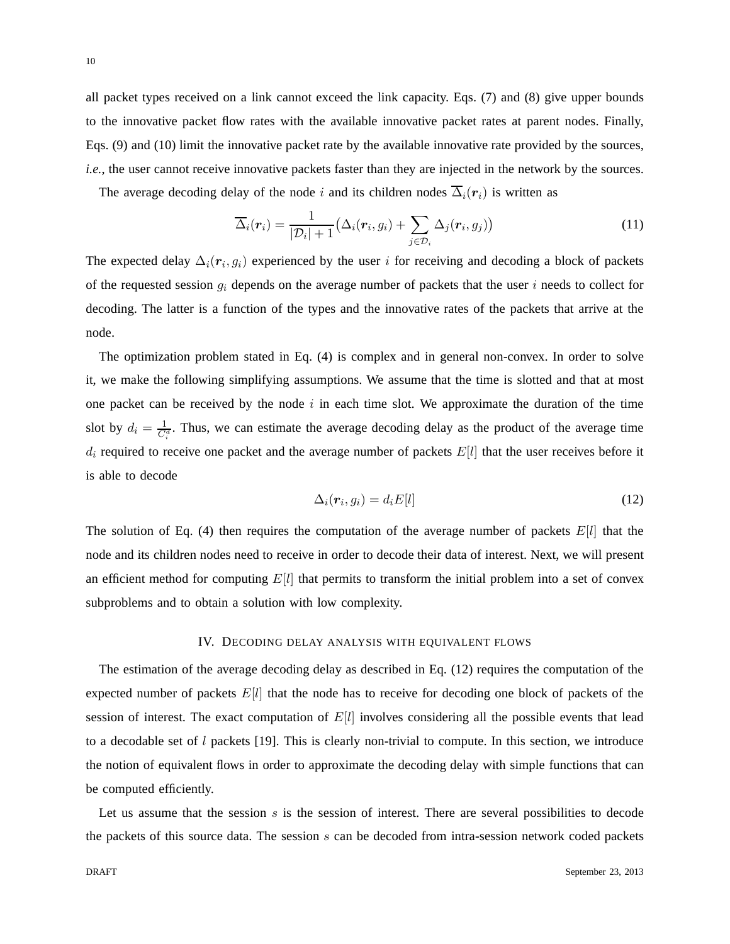all packet types received on a link cannot exceed the link capacity. Eqs. (7) and (8) give upper bounds to the innovative packet flow rates with the available innovative packet rates at parent nodes. Finally, Eqs. (9) and (10) limit the innovative packet rate by the available innovative rate provided by the sources, *i.e.*, the user cannot receive innovative packets faster than they are injected in the network by the sources.

The average decoding delay of the node i and its children nodes  $\overline{\Delta}_i(\mathbf{r}_i)$  is written as

$$
\overline{\Delta}_i(\boldsymbol{r}_i) = \frac{1}{|\mathcal{D}_i|+1} \big(\Delta_i(\boldsymbol{r}_i, g_i) + \sum_{j \in \mathcal{D}_i} \Delta_j(\boldsymbol{r}_i, g_j)\big) \tag{11}
$$

The expected delay  $\Delta_i(\mathbf{r}_i, g_i)$  experienced by the user i for receiving and decoding a block of packets of the requested session  $g_i$  depends on the average number of packets that the user i needs to collect for decoding. The latter is a function of the types and the innovative rates of the packets that arrive at the node.

The optimization problem stated in Eq. (4) is complex and in general non-convex. In order to solve it, we make the following simplifying assumptions. We assume that the time is slotted and that at most one packet can be received by the node  $i$  in each time slot. We approximate the duration of the time slot by  $d_i = \frac{1}{C_i^d}$ . Thus, we can estimate the average decoding delay as the product of the average time  $d_i$  required to receive one packet and the average number of packets  $E[l]$  that the user receives before it is able to decode

$$
\Delta_i(\mathbf{r}_i, g_i) = d_i E[l] \tag{12}
$$

The solution of Eq. (4) then requires the computation of the average number of packets  $E[l]$  that the node and its children nodes need to receive in order to decode their data of interest. Next, we will present an efficient method for computing  $E[l]$  that permits to transform the initial problem into a set of convex subproblems and to obtain a solution with low complexity.

## IV. DECODING DELAY ANALYSIS WITH EQUIVALENT FLOWS

The estimation of the average decoding delay as described in Eq. (12) requires the computation of the expected number of packets  $E[l]$  that the node has to receive for decoding one block of packets of the session of interest. The exact computation of  $E[l]$  involves considering all the possible events that lead to a decodable set of  $l$  packets [19]. This is clearly non-trivial to compute. In this section, we introduce the notion of equivalent flows in order to approximate the decoding delay with simple functions that can be computed efficiently.

Let us assume that the session  $s$  is the session of interest. There are several possibilities to decode the packets of this source data. The session  $s$  can be decoded from intra-session network coded packets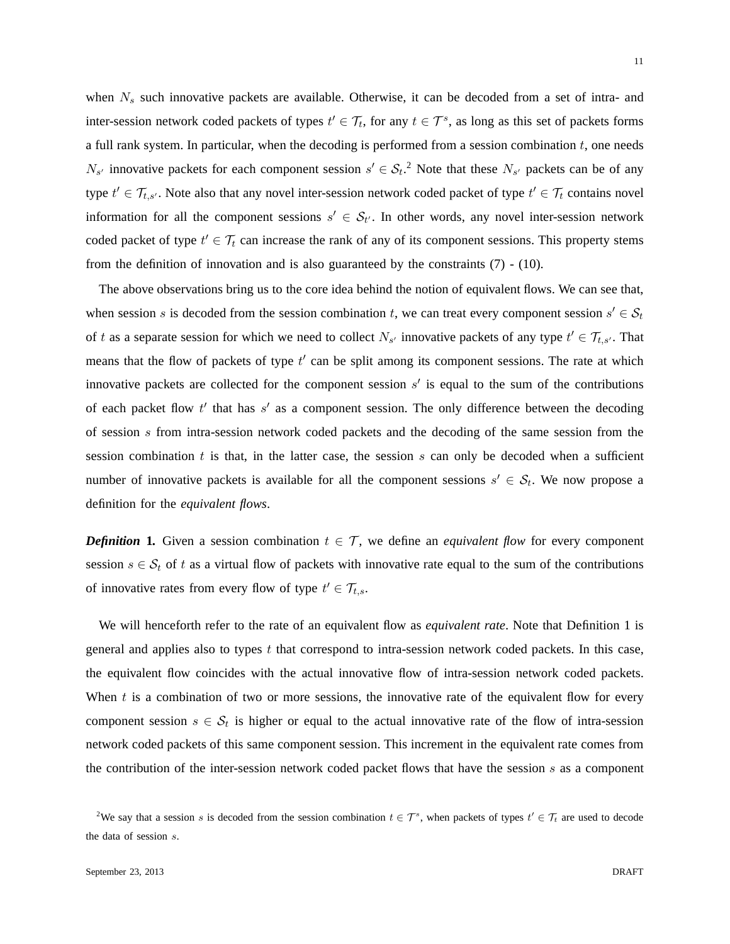when  $N_s$  such innovative packets are available. Otherwise, it can be decoded from a set of intra- and inter-session network coded packets of types  $t' \in \mathcal{T}_t$ , for any  $t \in \mathcal{T}^s$ , as long as this set of packets forms a full rank system. In particular, when the decoding is performed from a session combination t, one needs  $N_{s'}$  innovative packets for each component session  $s' \in S_t$ .<sup>2</sup> Note that these  $N_{s'}$  packets can be of any type  $t' \in \mathcal{T}_{t,s'}$ . Note also that any novel inter-session network coded packet of type  $t' \in \mathcal{T}_t$  contains novel information for all the component sessions  $s' \in S_{t'}$ . In other words, any novel inter-session network coded packet of type  $t' \in \mathcal{T}_t$  can increase the rank of any of its component sessions. This property stems from the definition of innovation and is also guaranteed by the constraints (7) - (10).

The above observations bring us to the core idea behind the notion of equivalent flows. We can see that, when session s is decoded from the session combination t, we can treat every component session  $s' \in S_t$ of t as a separate session for which we need to collect  $N_{s'}$  innovative packets of any type  $t' \in \mathcal{T}_{t,s'}$ . That means that the flow of packets of type  $t'$  can be split among its component sessions. The rate at which innovative packets are collected for the component session  $s'$  is equal to the sum of the contributions of each packet flow  $t'$  that has  $s'$  as a component session. The only difference between the decoding of session s from intra-session network coded packets and the decoding of the same session from the session combination  $t$  is that, in the latter case, the session  $s$  can only be decoded when a sufficient number of innovative packets is available for all the component sessions  $s' \in S_t$ . We now propose a definition for the *equivalent flows*.

*Definition* 1. Given a session combination  $t \in \mathcal{T}$ , we define an *equivalent flow* for every component session  $s \in S_t$  of t as a virtual flow of packets with innovative rate equal to the sum of the contributions of innovative rates from every flow of type  $t' \in \mathcal{T}_{t,s}$ .

We will henceforth refer to the rate of an equivalent flow as *equivalent rate*. Note that Definition 1 is general and applies also to types t that correspond to intra-session network coded packets. In this case, the equivalent flow coincides with the actual innovative flow of intra-session network coded packets. When  $t$  is a combination of two or more sessions, the innovative rate of the equivalent flow for every component session  $s \in \mathcal{S}_t$  is higher or equal to the actual innovative rate of the flow of intra-session network coded packets of this same component session. This increment in the equivalent rate comes from the contribution of the inter-session network coded packet flows that have the session  $s$  as a component

<sup>&</sup>lt;sup>2</sup>We say that a session s is decoded from the session combination  $t \in \mathcal{T}^s$ , when packets of types  $t' \in \mathcal{T}_t$  are used to decode the data of session s.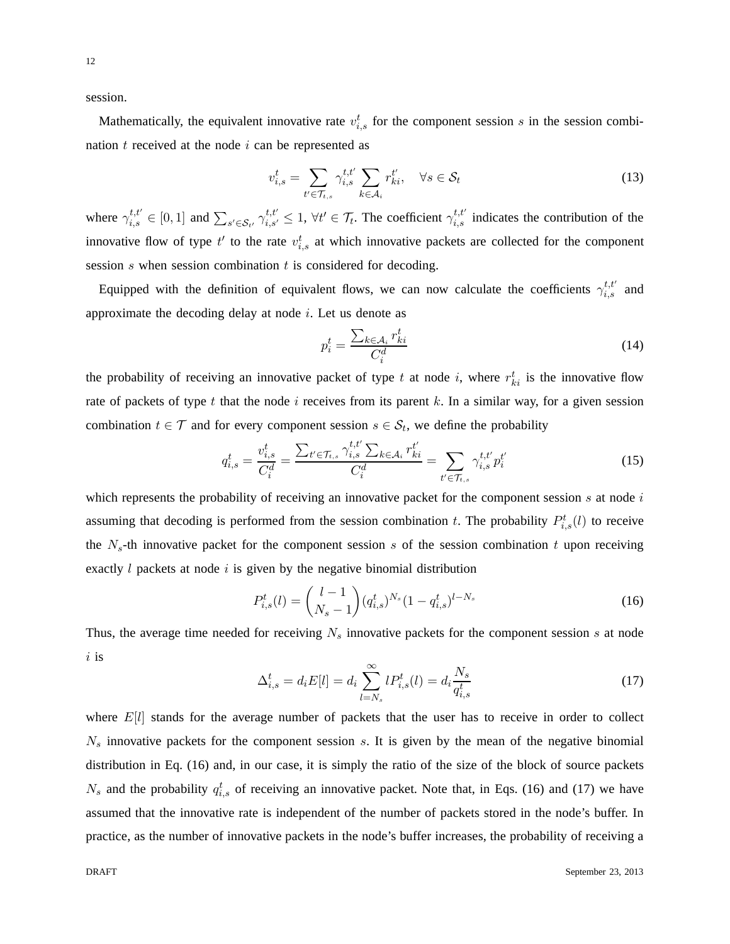session.

Mathematically, the equivalent innovative rate  $v_{i,s}^t$  for the component session s in the session combination  $t$  received at the node  $i$  can be represented as

$$
v_{i,s}^t = \sum_{t' \in \mathcal{T}_{t,s}} \gamma_{i,s}^{t,t'} \sum_{k \in \mathcal{A}_i} r_{ki}^{t'}, \quad \forall s \in \mathcal{S}_t
$$
\n
$$
(13)
$$

where  $\gamma_{i,s}^{t,t'} \in [0,1]$  and  $\sum_{s' \in \mathcal{S}_{t'}} \gamma_{i,s'}^{t,t'} \leq 1$ ,  $\forall t' \in \mathcal{T}_t$ . The coefficient  $\gamma_{i,s}^{t,t'}$  indicates the contribution of the innovative flow of type  $t'$  to the rate  $v_{i,s}^t$  at which innovative packets are collected for the component session  $s$  when session combination  $t$  is considered for decoding.

Equipped with the definition of equivalent flows, we can now calculate the coefficients  $\gamma_{i,s}^{t,t'}$  and approximate the decoding delay at node  $i$ . Let us denote as

$$
p_i^t = \frac{\sum_{k \in \mathcal{A}_i} r_{ki}^t}{C_i^d} \tag{14}
$$

the probability of receiving an innovative packet of type t at node i, where  $r_{ki}^t$  is the innovative flow rate of packets of type t that the node i receives from its parent k. In a similar way, for a given session combination  $t \in \mathcal{T}$  and for every component session  $s \in \mathcal{S}_t$ , we define the probability

$$
q_{i,s}^t = \frac{v_{i,s}^t}{C_i^d} = \frac{\sum_{t' \in \mathcal{T}_{t,s}} \gamma_{i,s}^{t,t'} \sum_{k \in \mathcal{A}_i} r_{ki}^{t'}}{C_i^d} = \sum_{t' \in \mathcal{T}_{t,s}} \gamma_{i,s}^{t,t'} p_i^{t'} \tag{15}
$$

which represents the probability of receiving an innovative packet for the component session  $s$  at node  $i$ assuming that decoding is performed from the session combination t. The probability  $P_{i,s}^{t}(l)$  to receive the  $N_s$ -th innovative packet for the component session s of the session combination t upon receiving exactly  $l$  packets at node  $i$  is given by the negative binomial distribution

$$
P_{i,s}^{t}(l) = \binom{l-1}{N_s-1} (q_{i,s}^{t})^{N_s} (1 - q_{i,s}^{t})^{l-N_s}
$$
\n(16)

Thus, the average time needed for receiving  $N_s$  innovative packets for the component session s at node  $i$  is

$$
\Delta_{i,s}^t = d_i E[l] = d_i \sum_{l=N_s}^{\infty} l P_{i,s}^t(l) = d_i \frac{N_s}{q_{i,s}^t}
$$
\n(17)

where  $E[l]$  stands for the average number of packets that the user has to receive in order to collect  $N<sub>s</sub>$  innovative packets for the component session s. It is given by the mean of the negative binomial distribution in Eq. (16) and, in our case, it is simply the ratio of the size of the block of source packets  $N_s$  and the probability  $q_{i,s}^t$  of receiving an innovative packet. Note that, in Eqs. (16) and (17) we have assumed that the innovative rate is independent of the number of packets stored in the node's buffer. In practice, as the number of innovative packets in the node's buffer increases, the probability of receiving a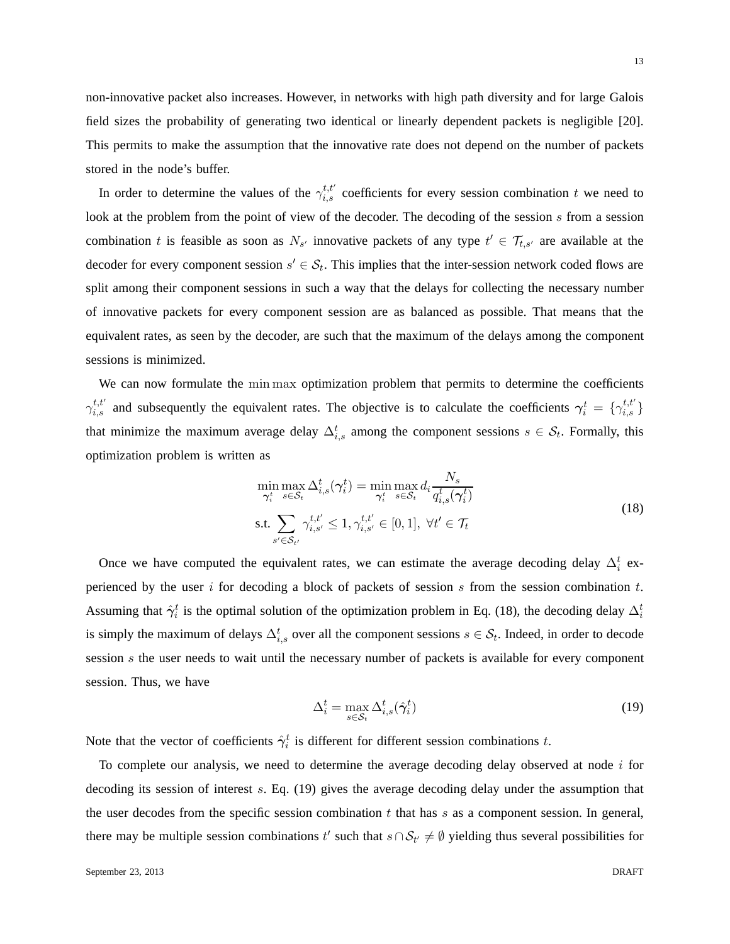non-innovative packet also increases. However, in networks with high path diversity and for large Galois field sizes the probability of generating two identical or linearly dependent packets is negligible [20]. This permits to make the assumption that the innovative rate does not depend on the number of packets stored in the node's buffer.

In order to determine the values of the  $\gamma_{i,s}^{t,t'}$  coefficients for every session combination t we need to look at the problem from the point of view of the decoder. The decoding of the session s from a session combination t is feasible as soon as  $N_{s'}$  innovative packets of any type  $t' \in \mathcal{T}_{t,s'}$  are available at the decoder for every component session  $s' \in S_t$ . This implies that the inter-session network coded flows are split among their component sessions in such a way that the delays for collecting the necessary number of innovative packets for every component session are as balanced as possible. That means that the equivalent rates, as seen by the decoder, are such that the maximum of the delays among the component sessions is minimized.

We can now formulate the min max optimization problem that permits to determine the coefficients  $\gamma_{i,s}^{t,t'}$  and subsequently the equivalent rates. The objective is to calculate the coefficients  $\gamma_i^t = \{\gamma_{i,s}^{t,t'}\}$ that minimize the maximum average delay  $\Delta_{i,s}^t$  among the component sessions  $s \in \mathcal{S}_t$ . Formally, this optimization problem is written as

$$
\min_{\gamma_i^t} \max_{s \in S_t} \Delta_{i,s}^t(\gamma_i^t) = \min_{\gamma_i^t} \max_{s \in S_t} d_i \frac{N_s}{q_{i,s}^t(\gamma_i^t)}
$$
\n
$$
\text{s.t.} \sum_{s' \in S_{t'}} \gamma_{i,s'}^{t,t'} \le 1, \gamma_{i,s'}^{t,t'} \in [0,1], \ \forall t' \in \mathcal{T}_t
$$
\n
$$
(18)
$$

Once we have computed the equivalent rates, we can estimate the average decoding delay  $\Delta_i^t$  experienced by the user i for decoding a block of packets of session s from the session combination  $t$ . Assuming that  $\hat{\gamma}_i^t$  is the optimal solution of the optimization problem in Eq. (18), the decoding delay  $\Delta_i^t$ is simply the maximum of delays  $\Delta_{i,s}^t$  over all the component sessions  $s \in \mathcal{S}_t$ . Indeed, in order to decode session s the user needs to wait until the necessary number of packets is available for every component session. Thus, we have

$$
\Delta_i^t = \max_{s \in \mathcal{S}_t} \Delta_{i,s}^t(\hat{\gamma}_i^t) \tag{19}
$$

Note that the vector of coefficients  $\hat{\gamma}_i^t$  is different for different session combinations t.

To complete our analysis, we need to determine the average decoding delay observed at node  $i$  for decoding its session of interest s. Eq. (19) gives the average decoding delay under the assumption that the user decodes from the specific session combination  $t$  that has  $s$  as a component session. In general, there may be multiple session combinations t' such that  $s \cap S_{t'} \neq \emptyset$  yielding thus several possibilities for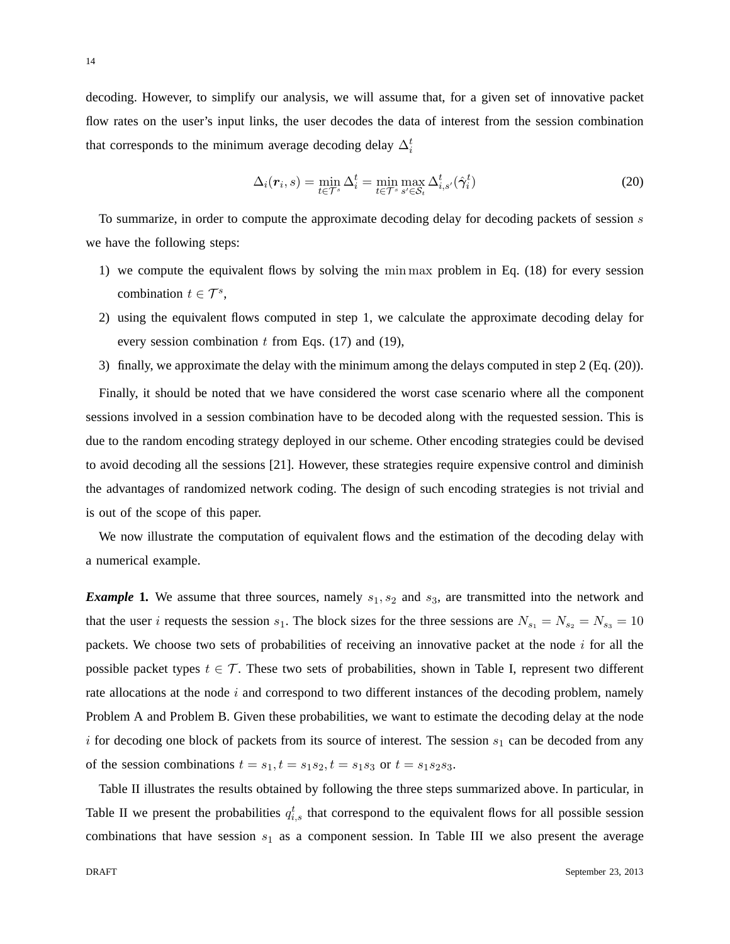decoding. However, to simplify our analysis, we will assume that, for a given set of innovative packet flow rates on the user's input links, the user decodes the data of interest from the session combination that corresponds to the minimum average decoding delay  $\Delta_i^t$ 

$$
\Delta_i(\boldsymbol{r}_i, s) = \min_{t \in \mathcal{T}^s} \Delta_i^t = \min_{t \in \mathcal{T}^s} \max_{s' \in \mathcal{S}_t} \Delta_{i, s'}^t(\hat{\gamma}_i^t)
$$
(20)

To summarize, in order to compute the approximate decoding delay for decoding packets of session  $s$ we have the following steps:

- 1) we compute the equivalent flows by solving the min max problem in Eq. (18) for every session combination  $t \in \mathcal{T}^s$ ,
- 2) using the equivalent flows computed in step 1, we calculate the approximate decoding delay for every session combination  $t$  from Eqs. (17) and (19),
- 3) finally, we approximate the delay with the minimum among the delays computed in step 2 (Eq. (20)).

Finally, it should be noted that we have considered the worst case scenario where all the component sessions involved in a session combination have to be decoded along with the requested session. This is due to the random encoding strategy deployed in our scheme. Other encoding strategies could be devised to avoid decoding all the sessions [21]. However, these strategies require expensive control and diminish the advantages of randomized network coding. The design of such encoding strategies is not trivial and is out of the scope of this paper.

We now illustrate the computation of equivalent flows and the estimation of the decoding delay with a numerical example.

*Example* 1. We assume that three sources, namely  $s_1, s_2$  and  $s_3$ , are transmitted into the network and that the user i requests the session  $s_1$ . The block sizes for the three sessions are  $N_{s_1} = N_{s_2} = N_{s_3} = 10$ packets. We choose two sets of probabilities of receiving an innovative packet at the node  $i$  for all the possible packet types  $t \in \mathcal{T}$ . These two sets of probabilities, shown in Table I, represent two different rate allocations at the node  $i$  and correspond to two different instances of the decoding problem, namely Problem A and Problem B. Given these probabilities, we want to estimate the decoding delay at the node i for decoding one block of packets from its source of interest. The session  $s_1$  can be decoded from any of the session combinations  $t = s_1, t = s_1s_2, t = s_1s_3$  or  $t = s_1s_2s_3$ .

Table II illustrates the results obtained by following the three steps summarized above. In particular, in Table II we present the probabilities  $q_{i,s}^t$  that correspond to the equivalent flows for all possible session combinations that have session  $s_1$  as a component session. In Table III we also present the average

14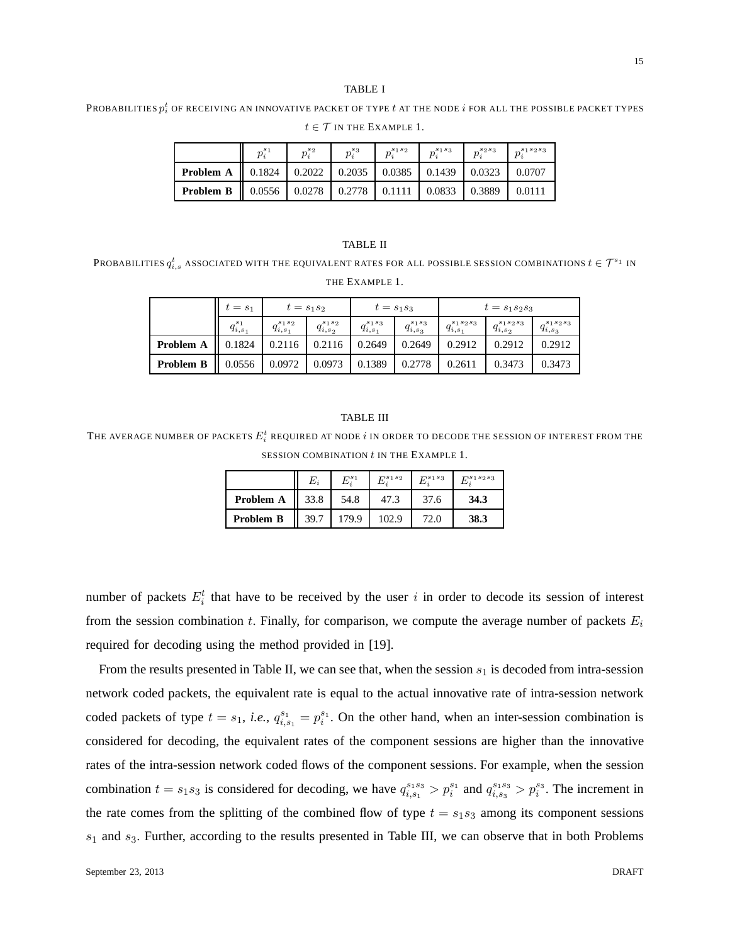## TABLE I

Probabilities  $p_i^t$  of receiving an innovative packet of type  $t$  at the node  $i$  for all the possible packet types

|                                                                                    | $p_i^{s_1}$                                                                 | $p_i^{s_2}$ | $p_i^{s_3}$ | $p_i^{s_1s_2}$ | $p^{s_1s_3}$  | $p^{s_2s_3}$  | $n^{s_1s_2s_3}$    |
|------------------------------------------------------------------------------------|-----------------------------------------------------------------------------|-------------|-------------|----------------|---------------|---------------|--------------------|
| <b>Problem A</b>   $0.1824$   $0.2022$   $0.2035$   $0.0385$   $0.1439$   $0.0323$ |                                                                             |             |             |                |               |               | $\parallel$ 0.0707 |
| Problem B                                                                          | $\parallel$ 0.0556 $\parallel$ 0.0278 $\parallel$ 0.2778 $\parallel$ 0.1111 |             |             |                | $\mid$ 0.0833 | $\mid$ 0.3889 | 0.0111             |

 $t \in \mathcal{T}$  IN THE EXAMPLE 1.

#### TABLE II

Probabilities  $q_{i,s}^t$  associated with the equivalent rates for all possible session combinations  $t\in{\cal T}^{s_1}$  in THE EXAMPLE 1.

|                  | $t=s_1$           | $t = s_1 s_2$         |                      | $t = s_1 s_3$         |                      | $t = s_1 s_2 s_3$       |                         |                         |
|------------------|-------------------|-----------------------|----------------------|-----------------------|----------------------|-------------------------|-------------------------|-------------------------|
|                  | $q_{i,s_1}^{s_1}$ | $q_{i,s_1}^{s_1 s_2}$ | $q_{i,s_2}^{s_1s_2}$ | $q_{i,s_1}^{s_1 s_3}$ | $q_{i,s_3}^{s_1s_3}$ | $q_{i,s_1}^{s_1s_2s_3}$ | $q_{i,s_2}^{s_1s_2s_3}$ | $q_{i,s_3}^{s_1s_2s_3}$ |
| Problem A        | 0.1824            | 0.2116                | 0.2116               | 0.2649                | 0.2649               | 0.2912                  | 0.2912                  | 0.2912                  |
| <b>Problem B</b> | 0.0556            | 0.0972                | 0.0973               | 0.1389                | 0.2778               | 0.2611                  | 0.3473                  | 0.3473                  |

#### TABLE III

The average number of packets  $E_i^t$  required at node  $i$  in order to decode the session of interest from the SESSION COMBINATION  $t$  in the EXAMPLE 1.

|                  | $E_i$ | $E^{s_1}$ | $E^{s_1s_2}$ | $E^{s_1s_3}$ | $E^{s_1s_2s_3}$ |
|------------------|-------|-----------|--------------|--------------|-----------------|
| Problem A        | 33.8  | 54.8      | 47.3         | 37.6         | 34.3            |
| <b>Problem B</b> | 39.7  | 179.9     | 102.9        | 72.0         | 38.3            |

number of packets  $E_i^t$  that have to be received by the user i in order to decode its session of interest from the session combination t. Finally, for comparison, we compute the average number of packets  $E_i$ required for decoding using the method provided in [19].

From the results presented in Table II, we can see that, when the session  $s_1$  is decoded from intra-session network coded packets, the equivalent rate is equal to the actual innovative rate of intra-session network coded packets of type  $t = s_1$ , *i.e.*,  $q_{i,s_1}^{s_1} = p_i^{s_1}$  $i<sup>s<sub>i</sub></sup>$ . On the other hand, when an inter-session combination is considered for decoding, the equivalent rates of the component sessions are higher than the innovative rates of the intra-session network coded flows of the component sessions. For example, when the session combination  $t = s_1 s_3$  is considered for decoding, we have  $q_{i,s_1}^{s_1 s_3} > p_i^{s_1}$  and  $q_{i,s_3}^{s_1 s_3} > p_i^{s_3}$ . The increment in the rate comes from the splitting of the combined flow of type  $t = s_1 s_3$  among its component sessions  $s_1$  and  $s_3$ . Further, according to the results presented in Table III, we can observe that in both Problems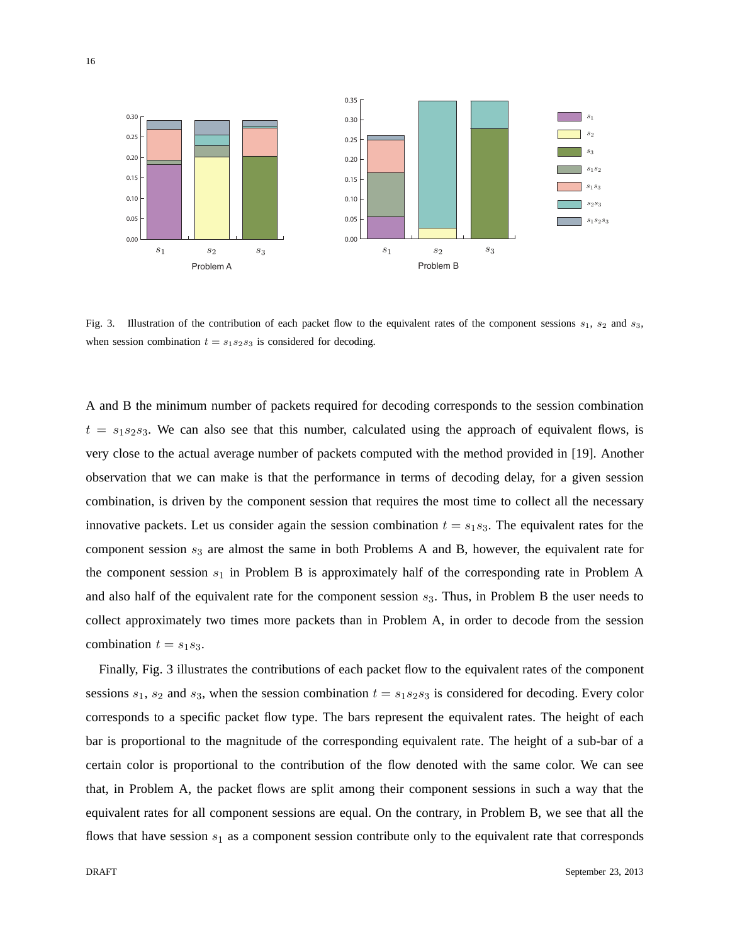

Fig. 3. Illustration of the contribution of each packet flow to the equivalent rates of the component sessions  $s_1$ ,  $s_2$  and  $s_3$ , when session combination  $t = s_1 s_2 s_3$  is considered for decoding.

A and B the minimum number of packets required for decoding corresponds to the session combination  $t = s_1s_2s_3$ . We can also see that this number, calculated using the approach of equivalent flows, is very close to the actual average number of packets computed with the method provided in [19]. Another observation that we can make is that the performance in terms of decoding delay, for a given session combination, is driven by the component session that requires the most time to collect all the necessary innovative packets. Let us consider again the session combination  $t = s_1 s_3$ . The equivalent rates for the component session  $s_3$  are almost the same in both Problems A and B, however, the equivalent rate for the component session  $s_1$  in Problem B is approximately half of the corresponding rate in Problem A and also half of the equivalent rate for the component session  $s_3$ . Thus, in Problem B the user needs to collect approximately two times more packets than in Problem A, in order to decode from the session combination  $t = s_1 s_3$ .

Finally, Fig. 3 illustrates the contributions of each packet flow to the equivalent rates of the component sessions  $s_1$ ,  $s_2$  and  $s_3$ , when the session combination  $t = s_1 s_2 s_3$  is considered for decoding. Every color corresponds to a specific packet flow type. The bars represent the equivalent rates. The height of each bar is proportional to the magnitude of the corresponding equivalent rate. The height of a sub-bar of a certain color is proportional to the contribution of the flow denoted with the same color. We can see that, in Problem A, the packet flows are split among their component sessions in such a way that the equivalent rates for all component sessions are equal. On the contrary, in Problem B, we see that all the flows that have session  $s_1$  as a component session contribute only to the equivalent rate that corresponds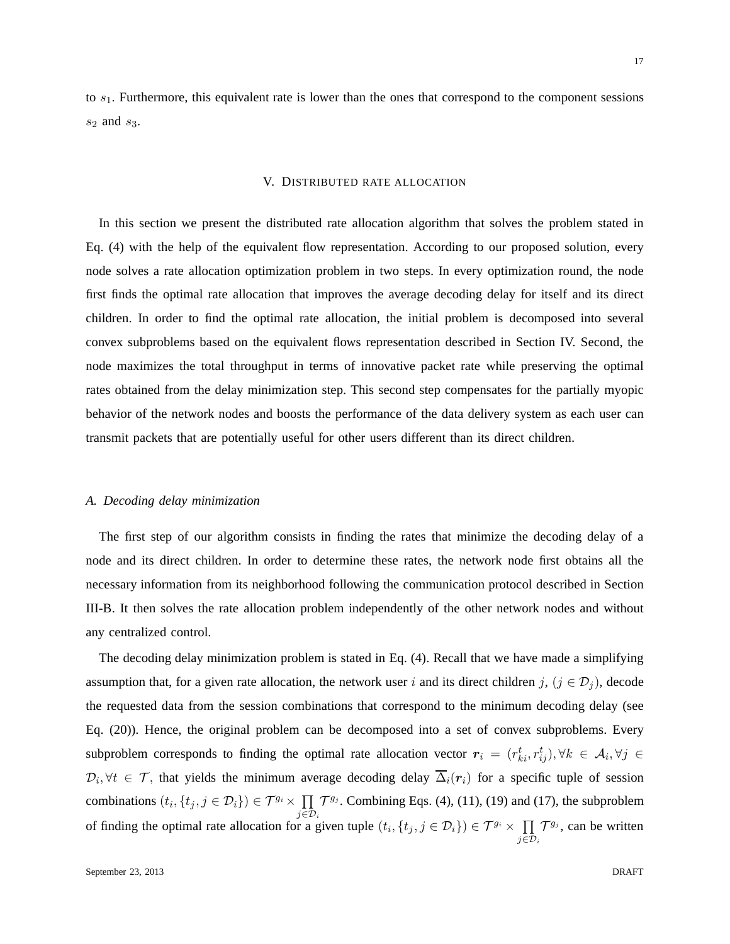to  $s<sub>1</sub>$ . Furthermore, this equivalent rate is lower than the ones that correspond to the component sessions  $s_2$  and  $s_3$ .

#### V. DISTRIBUTED RATE ALLOCATION

In this section we present the distributed rate allocation algorithm that solves the problem stated in Eq. (4) with the help of the equivalent flow representation. According to our proposed solution, every node solves a rate allocation optimization problem in two steps. In every optimization round, the node first finds the optimal rate allocation that improves the average decoding delay for itself and its direct children. In order to find the optimal rate allocation, the initial problem is decomposed into several convex subproblems based on the equivalent flows representation described in Section IV. Second, the node maximizes the total throughput in terms of innovative packet rate while preserving the optimal rates obtained from the delay minimization step. This second step compensates for the partially myopic behavior of the network nodes and boosts the performance of the data delivery system as each user can transmit packets that are potentially useful for other users different than its direct children.

#### *A. Decoding delay minimization*

The first step of our algorithm consists in finding the rates that minimize the decoding delay of a node and its direct children. In order to determine these rates, the network node first obtains all the necessary information from its neighborhood following the communication protocol described in Section III-B. It then solves the rate allocation problem independently of the other network nodes and without any centralized control.

The decoding delay minimization problem is stated in Eq. (4). Recall that we have made a simplifying assumption that, for a given rate allocation, the network user i and its direct children j,  $(j \in \mathcal{D}_j)$ , decode the requested data from the session combinations that correspond to the minimum decoding delay (see Eq. (20)). Hence, the original problem can be decomposed into a set of convex subproblems. Every subproblem corresponds to finding the optimal rate allocation vector  $r_i = (r_{ki}^t, r_{ij}^t), \forall k \in A_i, \forall j \in$  $\mathcal{D}_i, \forall t \in \mathcal{T}$ , that yields the minimum average decoding delay  $\Delta_i(\mathbf{r}_i)$  for a specific tuple of session combinations  $(t_i, \{t_j, j \in \mathcal{D}_i\}) \in \mathcal{T}^{g_i} \times \prod$  $j\in\mathcal{D}_i$  $\mathcal{T}^{g_j}$ . Combining Eqs. (4), (11), (19) and (17), the subproblem of finding the optimal rate allocation for a given tuple  $(t_i, \{t_j, j \in \mathcal{D}_i\}) \in \mathcal{T}^{g_i} \times \prod$ j $\in\! \mathcal{D}_i$  $\mathcal{T}^{g_j}$ , can be written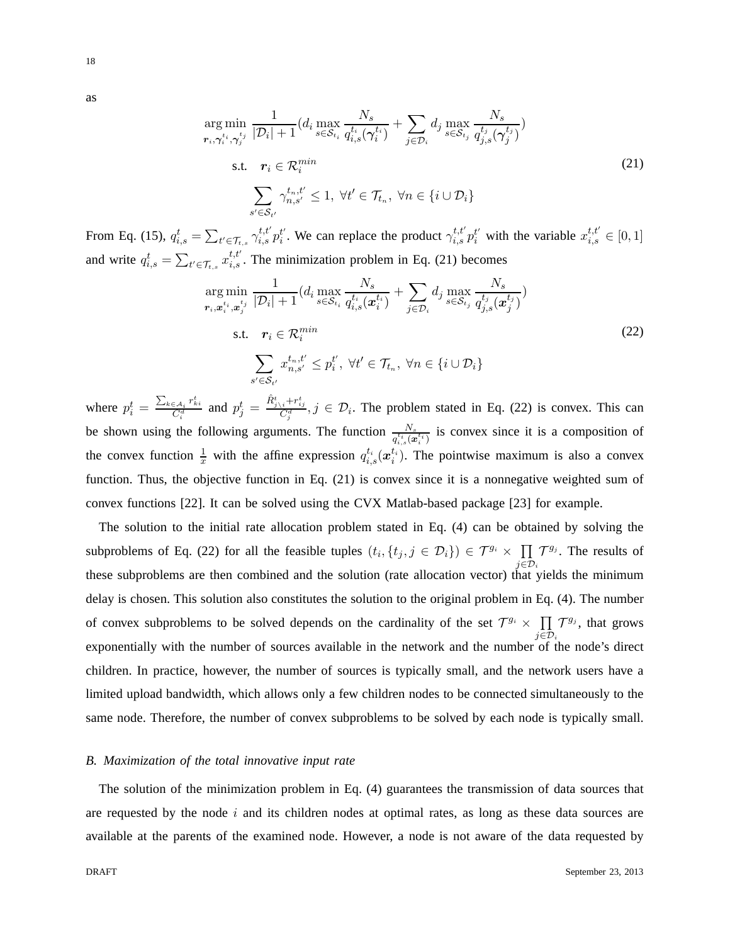as

ar  $r_i,$ 

 $\boldsymbol{r}$ 

$$
g \min_{\gamma_i^{t_i}, \gamma_j^{t_j}} \frac{1}{|\mathcal{D}_i| + 1} (d_i \max_{s \in \mathcal{S}_{t_i}} \frac{N_s}{q_{i,s}^{t_i}(\gamma_i^{t_i})} + \sum_{j \in \mathcal{D}_i} d_j \max_{s \in \mathcal{S}_{t_j}} \frac{N_s}{q_{j,s}^{t_j}(\gamma_j^{t_j})})
$$
\n
$$
\text{s.t.} \quad r_i \in \mathcal{R}_i^{\min}
$$
\n
$$
\sum_{s' \in \mathcal{S}_{t'}} \gamma_{n,s'}^{t_n, t'} \le 1, \ \forall t' \in \mathcal{T}_{t_n}, \ \forall n \in \{i \cup \mathcal{D}_i\}
$$
\n
$$
(21)
$$

From Eq. (15),  $q_{i,s}^t = \sum_{t' \in \mathcal{T}_{t,s}} \gamma_{i,s}^{t,t'} p_i^{t'}$ . We can replace the product  $\gamma_{i,s}^{t,t'} p_i^{t'}$  with the variable  $x_{i,s}^{t,t'} \in [0,1]$ and write  $q_{i,s}^t = \sum_{t' \in \mathcal{T}_{t,s}} x_{i,s}^{t,t'}$ . The minimization problem in Eq. (21) becomes

$$
\arg\min_{\mathbf{r}_{i},\mathbf{x}_{i}^{t_{i}},\mathbf{x}_{j}^{t_{j}}}\frac{1}{|\mathcal{D}_{i}|+1}(d_{i}\max_{s\in\mathcal{S}_{t_{i}}}\frac{N_{s}}{q_{i,s}^{t_{i}}(\mathbf{x}_{i}^{t_{i}})}+\sum_{j\in\mathcal{D}_{i}}d_{j}\max_{s\in\mathcal{S}_{t_{j}}}\frac{N_{s}}{q_{j,s}^{t_{j}}(\mathbf{x}_{j}^{t_{j}})})
$$
\n
$$
\text{s.t.} \quad \mathbf{r}_{i}\in\mathcal{R}_{i}^{min}
$$
\n
$$
\sum_{s'\in\mathcal{S}_{t'}}x_{n,s'}^{t_{n},t'}\leq p_{i}^{t'}, \ \forall t'\in\mathcal{T}_{t_{n}}, \ \forall n\in\{i\cup\mathcal{D}_{i}\}
$$
\n
$$
(22)
$$

where  $p_i^t = \frac{\sum_{k \in A_i} r_{ki}^t}{C_i^d}$  and  $p_j^t = \frac{\hat{R}_{j\setminus i}^t + r_{ij}^t}{C_j^d}$ ,  $j \in \mathcal{D}_i$ . The problem stated in Eq. (22) is convex. This can be shown using the following arguments. The function  $\frac{N_s}{q_{i,s}^{t_i}(\boldsymbol{x}_i^{t_i})}$  is convex since it is a composition of the convex function  $\frac{1}{x}$  with the affine expression  $q_{i,s}^{t_i}(x_i^{t_i})$ . The pointwise maximum is also a convex function. Thus, the objective function in Eq. (21) is convex since it is a nonnegative weighted sum of convex functions [22]. It can be solved using the CVX Matlab-based package [23] for example.

The solution to the initial rate allocation problem stated in Eq. (4) can be obtained by solving the subproblems of Eq. (22) for all the feasible tuples  $(t_i, \{t_j, j \in \mathcal{D}_i\}) \in \mathcal{T}^{g_i} \times \prod$  $j\in\mathcal{D}_i$  $\mathcal{T}^{g_j}$ . The results of these subproblems are then combined and the solution (rate allocation vector) that yields the minimum delay is chosen. This solution also constitutes the solution to the original problem in Eq. (4). The number of convex subproblems to be solved depends on the cardinality of the set  $\mathcal{T}^{g_i} \times \prod$  $j\in\mathcal{D}_i$  $\mathcal{T}^{g_j}$ , that grows exponentially with the number of sources available in the network and the number of the node's direct children. In practice, however, the number of sources is typically small, and the network users have a limited upload bandwidth, which allows only a few children nodes to be connected simultaneously to the same node. Therefore, the number of convex subproblems to be solved by each node is typically small.

## *B. Maximization of the total innovative input rate*

The solution of the minimization problem in Eq. (4) guarantees the transmission of data sources that are requested by the node  $i$  and its children nodes at optimal rates, as long as these data sources are available at the parents of the examined node. However, a node is not aware of the data requested by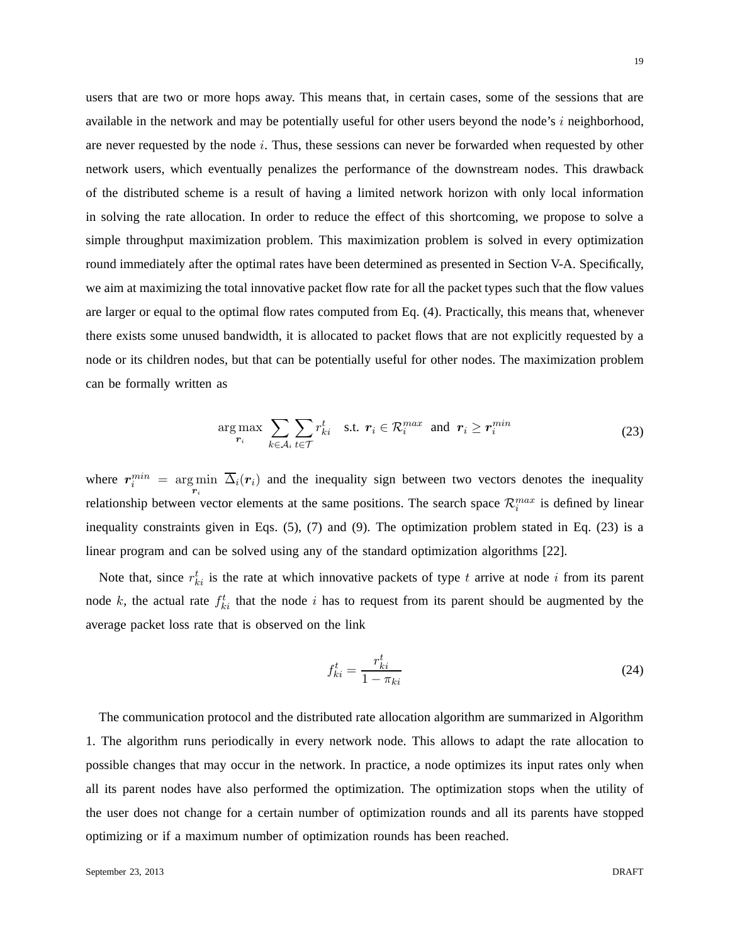users that are two or more hops away. This means that, in certain cases, some of the sessions that are available in the network and may be potentially useful for other users beyond the node's  $i$  neighborhood, are never requested by the node  $i$ . Thus, these sessions can never be forwarded when requested by other network users, which eventually penalizes the performance of the downstream nodes. This drawback of the distributed scheme is a result of having a limited network horizon with only local information in solving the rate allocation. In order to reduce the effect of this shortcoming, we propose to solve a simple throughput maximization problem. This maximization problem is solved in every optimization round immediately after the optimal rates have been determined as presented in Section V-A. Specifically, we aim at maximizing the total innovative packet flow rate for all the packet types such that the flow values are larger or equal to the optimal flow rates computed from Eq. (4). Practically, this means that, whenever there exists some unused bandwidth, it is allocated to packet flows that are not explicitly requested by a node or its children nodes, but that can be potentially useful for other nodes. The maximization problem can be formally written as

$$
\underset{\boldsymbol{r}_{i}}{\arg\max} \sum_{k\in\mathcal{A}_{i}} \sum_{t\in\mathcal{T}} r_{ki}^{t} \quad \text{s.t.} \ \boldsymbol{r}_{i} \in \mathcal{R}_{i}^{max} \ \text{ and } \ \boldsymbol{r}_{i} \geq \boldsymbol{r}_{i}^{min} \tag{23}
$$

where  $r_i^{min} = \arg \min \overline{\Delta}_i(r_i)$  and the inequality sign between two vectors denotes the inequality relationship between vector elements at the same positions. The search space  $\mathcal{R}_i^{max}$  is defined by linear inequality constraints given in Eqs. (5), (7) and (9). The optimization problem stated in Eq. (23) is a linear program and can be solved using any of the standard optimization algorithms [22].

Note that, since  $r_{ki}^t$  is the rate at which innovative packets of type t arrive at node i from its parent node k, the actual rate  $f_{ki}^t$  that the node i has to request from its parent should be augmented by the average packet loss rate that is observed on the link

$$
f_{ki}^t = \frac{r_{ki}^t}{1 - \pi_{ki}}
$$
\n<sup>(24)</sup>

The communication protocol and the distributed rate allocation algorithm are summarized in Algorithm 1. The algorithm runs periodically in every network node. This allows to adapt the rate allocation to possible changes that may occur in the network. In practice, a node optimizes its input rates only when all its parent nodes have also performed the optimization. The optimization stops when the utility of the user does not change for a certain number of optimization rounds and all its parents have stopped optimizing or if a maximum number of optimization rounds has been reached.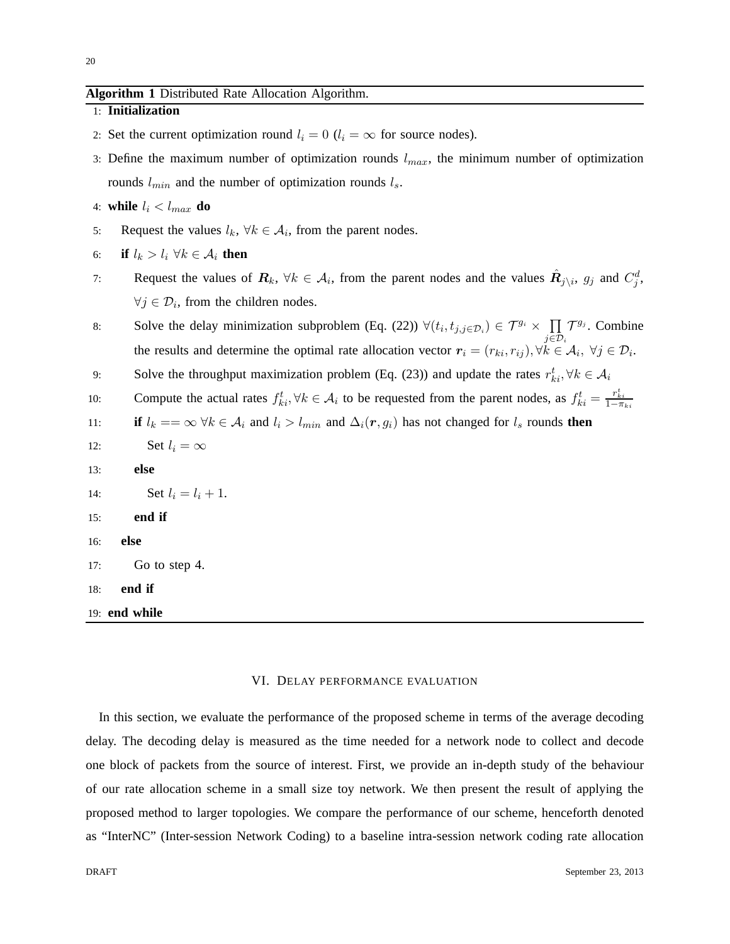## **Algorithm 1** Distributed Rate Allocation Algorithm.

1: **Initialization**

- 2: Set the current optimization round  $l_i = 0$  ( $l_i = \infty$  for source nodes).
- 3: Define the maximum number of optimization rounds  $l_{max}$ , the minimum number of optimization rounds  $l_{min}$  and the number of optimization rounds  $l_s$ .
- 4: **while**  $l_i < l_{max}$  **do**
- 5: Request the values  $l_k$ ,  $\forall k \in \mathcal{A}_i$ , from the parent nodes.
- 6: **if**  $l_k > l_i \ \forall k \in \mathcal{A}_i$  **then**
- 7: Request the values of  $\mathbf{R}_k$ ,  $\forall k \in \mathcal{A}_i$ , from the parent nodes and the values  $\hat{\mathbf{R}}_{j\setminus i}$ ,  $g_j$  and  $C_j^d$ ,  $\forall j \in \mathcal{D}_i$ , from the children nodes.
- 8: Solve the delay minimization subproblem (Eq. (22))  $\forall (t_i, t_{j, j \in \mathcal{D}_i}) \in \mathcal{T}^{g_i} \times \prod$ j $\in\!{\mathcal D}_i$  $\mathcal{T}^{g_j}$ . Combine the results and determine the optimal rate allocation vector  $r_i = (r_{ki}, r_{ij}), \forall k \in A_i, \ \forall j \in \mathcal{D}_i$ .
- 9: Solve the throughput maximization problem (Eq. (23)) and update the rates  $r_{ki}^t, \forall k \in A_i$
- 10: Compute the actual rates  $f_{ki}^t$ ,  $\forall k \in \mathcal{A}_i$  to be requested from the parent nodes, as  $f_{ki}^t = \frac{r_{ki}^t}{1 \pi_{ki}}$
- 11: **if**  $l_k == \infty \forall k \in A_i$  and  $l_i > l_{min}$  and  $\Delta_i(\mathbf{r}, g_i)$  has not changed for  $l_s$  rounds **then**
- 12: Set  $l_i = \infty$
- 13: **else**
- 14: **Set**  $l_i = l_i + 1$ .
- 15: **end if**
- 16: **else**
- 17: Go to step 4.
- 18: **end if**
- 19: **end while**

#### VI. DELAY PERFORMANCE EVALUATION

In this section, we evaluate the performance of the proposed scheme in terms of the average decoding delay. The decoding delay is measured as the time needed for a network node to collect and decode one block of packets from the source of interest. First, we provide an in-depth study of the behaviour of our rate allocation scheme in a small size toy network. We then present the result of applying the proposed method to larger topologies. We compare the performance of our scheme, henceforth denoted as "InterNC" (Inter-session Network Coding) to a baseline intra-session network coding rate allocation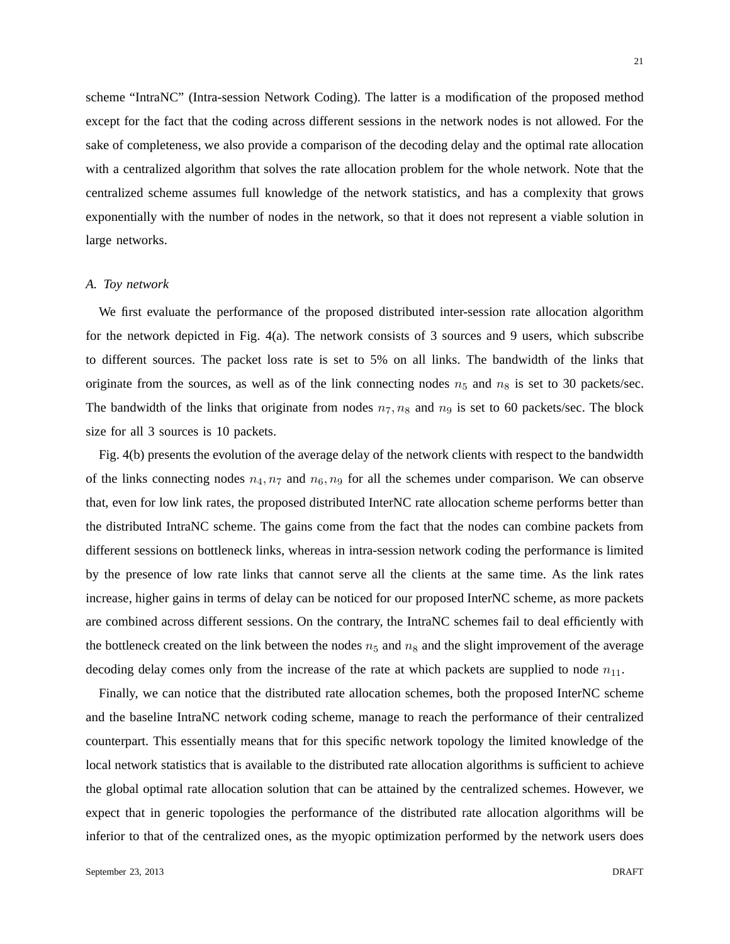scheme "IntraNC" (Intra-session Network Coding). The latter is a modification of the proposed method except for the fact that the coding across different sessions in the network nodes is not allowed. For the sake of completeness, we also provide a comparison of the decoding delay and the optimal rate allocation with a centralized algorithm that solves the rate allocation problem for the whole network. Note that the centralized scheme assumes full knowledge of the network statistics, and has a complexity that grows exponentially with the number of nodes in the network, so that it does not represent a viable solution in large networks.

## *A. Toy network*

We first evaluate the performance of the proposed distributed inter-session rate allocation algorithm for the network depicted in Fig. 4(a). The network consists of 3 sources and 9 users, which subscribe to different sources. The packet loss rate is set to 5% on all links. The bandwidth of the links that originate from the sources, as well as of the link connecting nodes  $n_5$  and  $n_8$  is set to 30 packets/sec. The bandwidth of the links that originate from nodes  $n_7, n_8$  and  $n_9$  is set to 60 packets/sec. The block size for all 3 sources is 10 packets.

Fig. 4(b) presents the evolution of the average delay of the network clients with respect to the bandwidth of the links connecting nodes  $n_4$ ,  $n_7$  and  $n_6$ ,  $n_9$  for all the schemes under comparison. We can observe that, even for low link rates, the proposed distributed InterNC rate allocation scheme performs better than the distributed IntraNC scheme. The gains come from the fact that the nodes can combine packets from different sessions on bottleneck links, whereas in intra-session network coding the performance is limited by the presence of low rate links that cannot serve all the clients at the same time. As the link rates increase, higher gains in terms of delay can be noticed for our proposed InterNC scheme, as more packets are combined across different sessions. On the contrary, the IntraNC schemes fail to deal efficiently with the bottleneck created on the link between the nodes  $n_5$  and  $n_8$  and the slight improvement of the average decoding delay comes only from the increase of the rate at which packets are supplied to node  $n_{11}$ .

Finally, we can notice that the distributed rate allocation schemes, both the proposed InterNC scheme and the baseline IntraNC network coding scheme, manage to reach the performance of their centralized counterpart. This essentially means that for this specific network topology the limited knowledge of the local network statistics that is available to the distributed rate allocation algorithms is sufficient to achieve the global optimal rate allocation solution that can be attained by the centralized schemes. However, we expect that in generic topologies the performance of the distributed rate allocation algorithms will be inferior to that of the centralized ones, as the myopic optimization performed by the network users does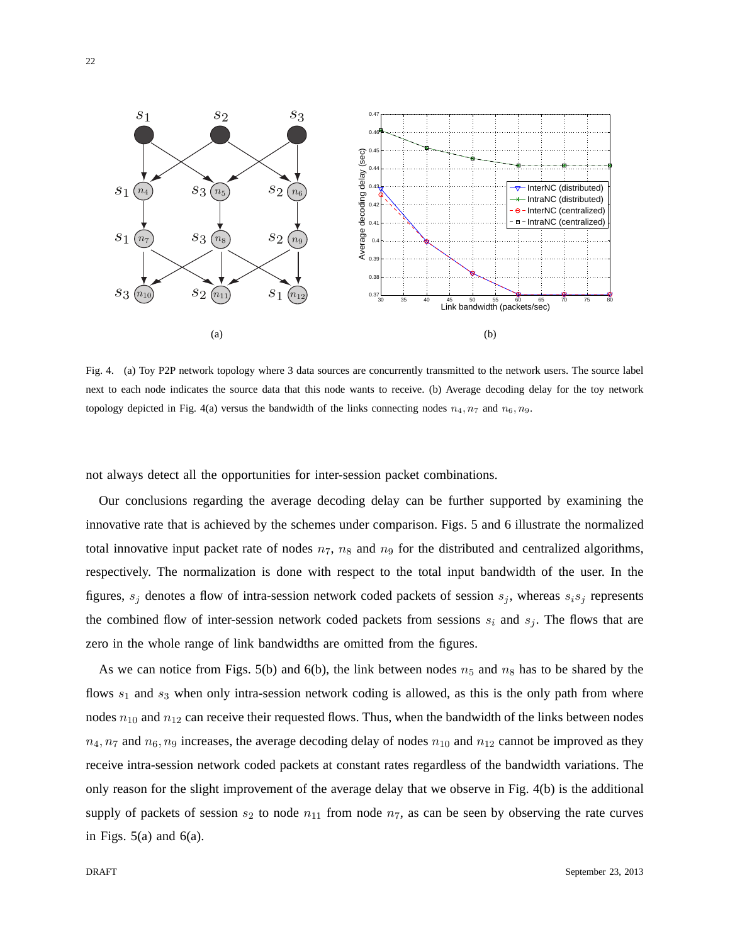

Fig. 4. (a) Toy P2P network topology where 3 data sources are concurrently transmitted to the network users. The source label next to each node indicates the source data that this node wants to receive. (b) Average decoding delay for the toy network topology depicted in Fig. 4(a) versus the bandwidth of the links connecting nodes  $n_4$ ,  $n_7$  and  $n_6$ ,  $n_9$ .

not always detect all the opportunities for inter-session packet combinations.

Our conclusions regarding the average decoding delay can be further supported by examining the innovative rate that is achieved by the schemes under comparison. Figs. 5 and 6 illustrate the normalized total innovative input packet rate of nodes  $n_7$ ,  $n_8$  and  $n_9$  for the distributed and centralized algorithms, respectively. The normalization is done with respect to the total input bandwidth of the user. In the figures,  $s_j$  denotes a flow of intra-session network coded packets of session  $s_j$ , whereas  $s_i s_j$  represents the combined flow of inter-session network coded packets from sessions  $s_i$  and  $s_j$ . The flows that are zero in the whole range of link bandwidths are omitted from the figures.

As we can notice from Figs. 5(b) and 6(b), the link between nodes  $n_5$  and  $n_8$  has to be shared by the flows  $s_1$  and  $s_3$  when only intra-session network coding is allowed, as this is the only path from where nodes  $n_{10}$  and  $n_{12}$  can receive their requested flows. Thus, when the bandwidth of the links between nodes  $n_4$ ,  $n_7$  and  $n_6$ ,  $n_9$  increases, the average decoding delay of nodes  $n_{10}$  and  $n_{12}$  cannot be improved as they receive intra-session network coded packets at constant rates regardless of the bandwidth variations. The only reason for the slight improvement of the average delay that we observe in Fig. 4(b) is the additional supply of packets of session  $s_2$  to node  $n_{11}$  from node  $n_7$ , as can be seen by observing the rate curves in Figs.  $5(a)$  and  $6(a)$ .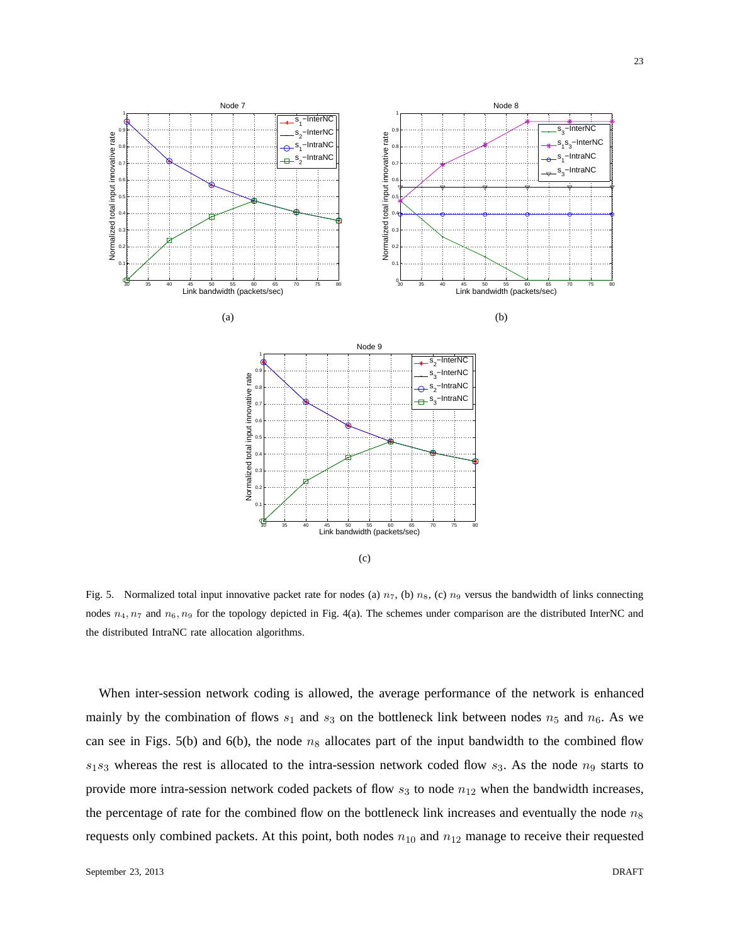

Fig. 5. Normalized total input innovative packet rate for nodes (a)  $n_7$ , (b)  $n_8$ , (c)  $n_9$  versus the bandwidth of links connecting nodes  $n_4$ ,  $n_7$  and  $n_6$ ,  $n_9$  for the topology depicted in Fig. 4(a). The schemes under comparison are the distributed InterNC and the distributed IntraNC rate allocation algorithms.

When inter-session network coding is allowed, the average performance of the network is enhanced mainly by the combination of flows  $s_1$  and  $s_3$  on the bottleneck link between nodes  $n_5$  and  $n_6$ . As we can see in Figs. 5(b) and 6(b), the node  $n_8$  allocates part of the input bandwidth to the combined flow  $s_1s_3$  whereas the rest is allocated to the intra-session network coded flow  $s_3$ . As the node  $n_9$  starts to provide more intra-session network coded packets of flow  $s_3$  to node  $n_{12}$  when the bandwidth increases, the percentage of rate for the combined flow on the bottleneck link increases and eventually the node  $n_8$ requests only combined packets. At this point, both nodes  $n_{10}$  and  $n_{12}$  manage to receive their requested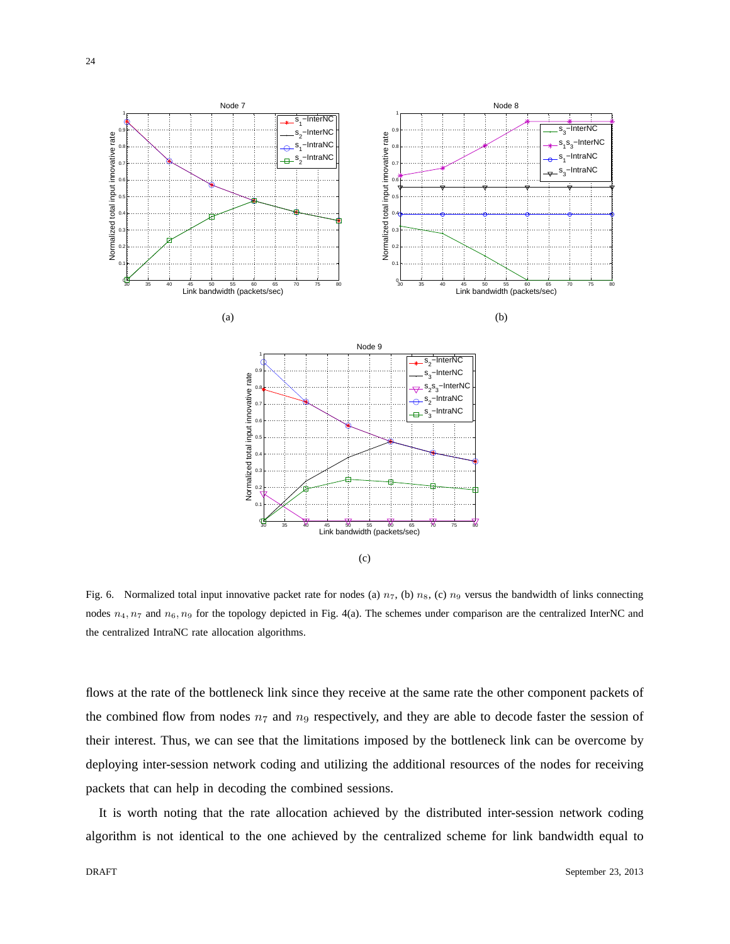

Fig. 6. Normalized total input innovative packet rate for nodes (a)  $n_7$ , (b)  $n_8$ , (c)  $n_9$  versus the bandwidth of links connecting nodes  $n_4$ ,  $n_7$  and  $n_6$ ,  $n_9$  for the topology depicted in Fig. 4(a). The schemes under comparison are the centralized InterNC and the centralized IntraNC rate allocation algorithms.

flows at the rate of the bottleneck link since they receive at the same rate the other component packets of the combined flow from nodes  $n_7$  and  $n_9$  respectively, and they are able to decode faster the session of their interest. Thus, we can see that the limitations imposed by the bottleneck link can be overcome by deploying inter-session network coding and utilizing the additional resources of the nodes for receiving packets that can help in decoding the combined sessions.

It is worth noting that the rate allocation achieved by the distributed inter-session network coding algorithm is not identical to the one achieved by the centralized scheme for link bandwidth equal to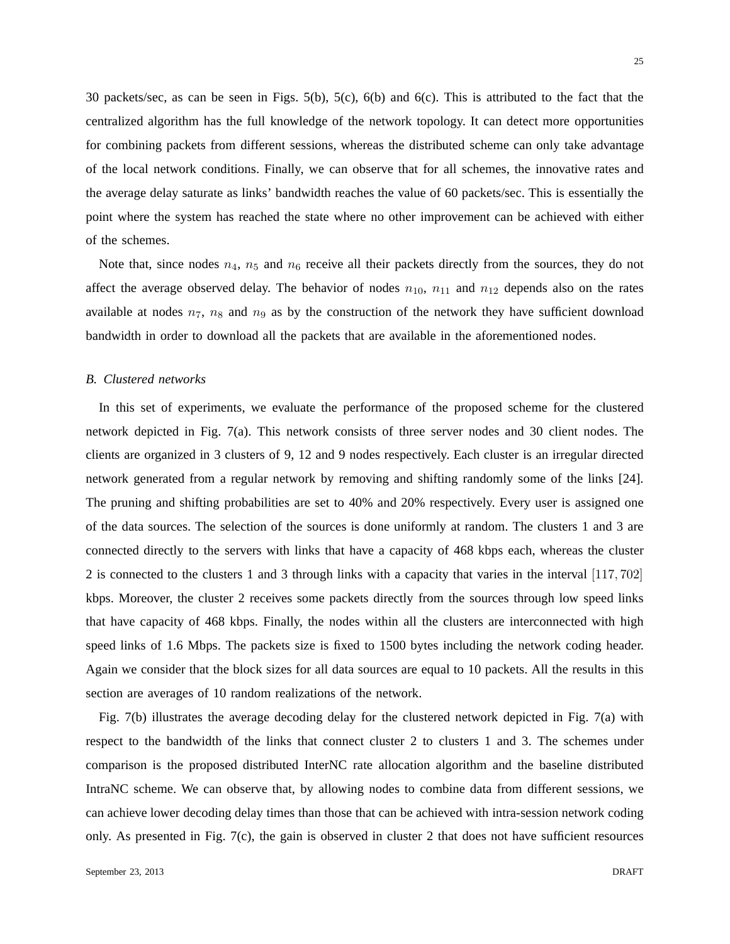30 packets/sec, as can be seen in Figs. 5(b), 5(c), 6(b) and 6(c). This is attributed to the fact that the centralized algorithm has the full knowledge of the network topology. It can detect more opportunities for combining packets from different sessions, whereas the distributed scheme can only take advantage of the local network conditions. Finally, we can observe that for all schemes, the innovative rates and the average delay saturate as links' bandwidth reaches the value of 60 packets/sec. This is essentially the point where the system has reached the state where no other improvement can be achieved with either of the schemes.

Note that, since nodes  $n_4$ ,  $n_5$  and  $n_6$  receive all their packets directly from the sources, they do not affect the average observed delay. The behavior of nodes  $n_{10}$ ,  $n_{11}$  and  $n_{12}$  depends also on the rates available at nodes  $n_7$ ,  $n_8$  and  $n_9$  as by the construction of the network they have sufficient download bandwidth in order to download all the packets that are available in the aforementioned nodes.

## *B. Clustered networks*

In this set of experiments, we evaluate the performance of the proposed scheme for the clustered network depicted in Fig. 7(a). This network consists of three server nodes and 30 client nodes. The clients are organized in 3 clusters of 9, 12 and 9 nodes respectively. Each cluster is an irregular directed network generated from a regular network by removing and shifting randomly some of the links [24]. The pruning and shifting probabilities are set to 40% and 20% respectively. Every user is assigned one of the data sources. The selection of the sources is done uniformly at random. The clusters 1 and 3 are connected directly to the servers with links that have a capacity of 468 kbps each, whereas the cluster 2 is connected to the clusters 1 and 3 through links with a capacity that varies in the interval [117, 702] kbps. Moreover, the cluster 2 receives some packets directly from the sources through low speed links that have capacity of 468 kbps. Finally, the nodes within all the clusters are interconnected with high speed links of 1.6 Mbps. The packets size is fixed to 1500 bytes including the network coding header. Again we consider that the block sizes for all data sources are equal to 10 packets. All the results in this section are averages of 10 random realizations of the network.

Fig. 7(b) illustrates the average decoding delay for the clustered network depicted in Fig. 7(a) with respect to the bandwidth of the links that connect cluster 2 to clusters 1 and 3. The schemes under comparison is the proposed distributed InterNC rate allocation algorithm and the baseline distributed IntraNC scheme. We can observe that, by allowing nodes to combine data from different sessions, we can achieve lower decoding delay times than those that can be achieved with intra-session network coding only. As presented in Fig.  $7(c)$ , the gain is observed in cluster 2 that does not have sufficient resources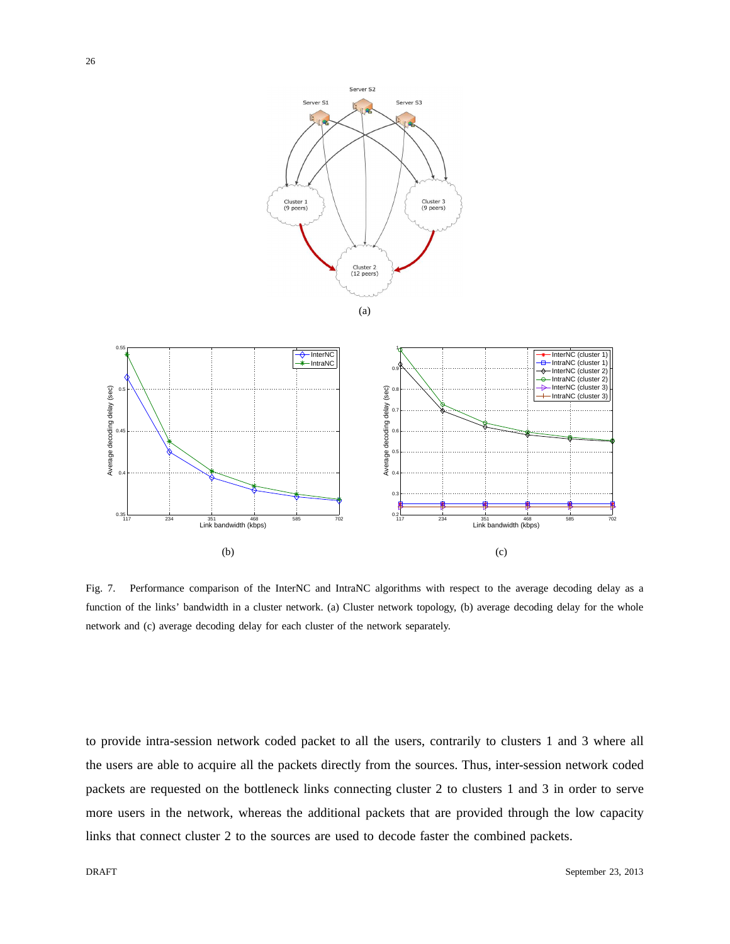



Fig. 7. Performance comparison of the InterNC and IntraNC algorithms with respect to the average decoding delay as a function of the links' bandwidth in a cluster network. (a) Cluster network topology, (b) average decoding delay for the whole network and (c) average decoding delay for each cluster of the network separately.

to provide intra-session network coded packet to all the users, contrarily to clusters 1 and 3 where all the users are able to acquire all the packets directly from the sources. Thus, inter-session network coded packets are requested on the bottleneck links connecting cluster 2 to clusters 1 and 3 in order to serve more users in the network, whereas the additional packets that are provided through the low capacity links that connect cluster 2 to the sources are used to decode faster the combined packets.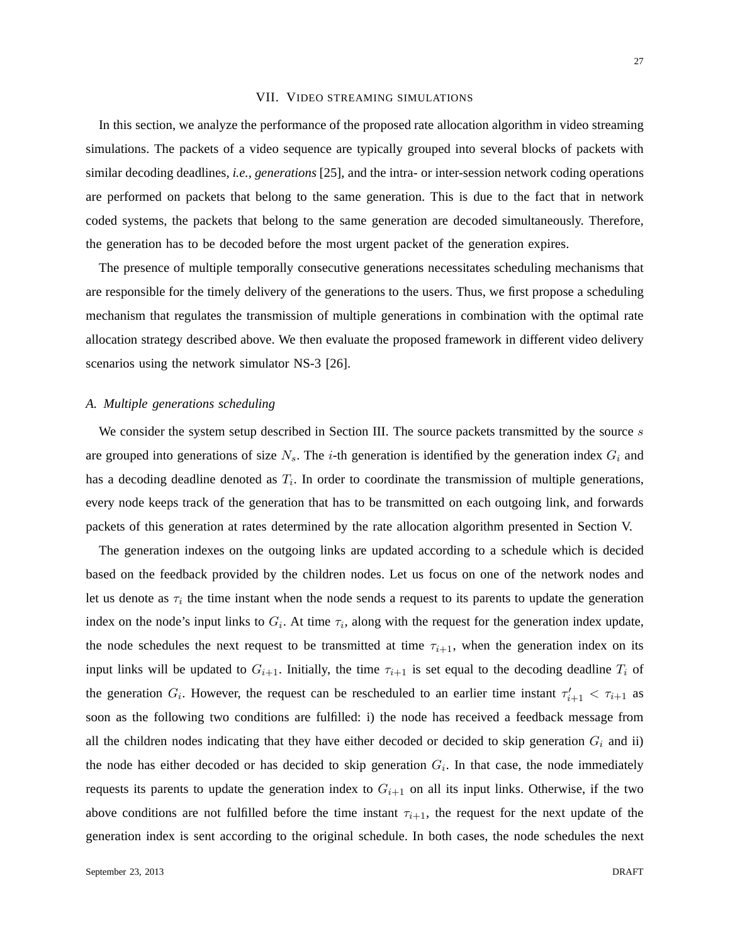## VII. VIDEO STREAMING SIMULATIONS

In this section, we analyze the performance of the proposed rate allocation algorithm in video streaming simulations. The packets of a video sequence are typically grouped into several blocks of packets with similar decoding deadlines, *i.e., generations* [25], and the intra- or inter-session network coding operations are performed on packets that belong to the same generation. This is due to the fact that in network coded systems, the packets that belong to the same generation are decoded simultaneously. Therefore, the generation has to be decoded before the most urgent packet of the generation expires.

The presence of multiple temporally consecutive generations necessitates scheduling mechanisms that are responsible for the timely delivery of the generations to the users. Thus, we first propose a scheduling mechanism that regulates the transmission of multiple generations in combination with the optimal rate allocation strategy described above. We then evaluate the proposed framework in different video delivery scenarios using the network simulator NS-3 [26].

### *A. Multiple generations scheduling*

We consider the system setup described in Section III. The source packets transmitted by the source  $s$ are grouped into generations of size  $N_s$ . The *i*-th generation is identified by the generation index  $G_i$  and has a decoding deadline denoted as  $T_i$ . In order to coordinate the transmission of multiple generations, every node keeps track of the generation that has to be transmitted on each outgoing link, and forwards packets of this generation at rates determined by the rate allocation algorithm presented in Section V.

The generation indexes on the outgoing links are updated according to a schedule which is decided based on the feedback provided by the children nodes. Let us focus on one of the network nodes and let us denote as  $\tau_i$  the time instant when the node sends a request to its parents to update the generation index on the node's input links to  $G_i$ . At time  $\tau_i$ , along with the request for the generation index update, the node schedules the next request to be transmitted at time  $\tau_{i+1}$ , when the generation index on its input links will be updated to  $G_{i+1}$ . Initially, the time  $\tau_{i+1}$  is set equal to the decoding deadline  $T_i$  of the generation  $G_i$ . However, the request can be rescheduled to an earlier time instant  $\tau'_{i+1} < \tau_{i+1}$  as soon as the following two conditions are fulfilled: i) the node has received a feedback message from all the children nodes indicating that they have either decoded or decided to skip generation  $G_i$  and ii) the node has either decoded or has decided to skip generation  $G_i$ . In that case, the node immediately requests its parents to update the generation index to  $G_{i+1}$  on all its input links. Otherwise, if the two above conditions are not fulfilled before the time instant  $\tau_{i+1}$ , the request for the next update of the generation index is sent according to the original schedule. In both cases, the node schedules the next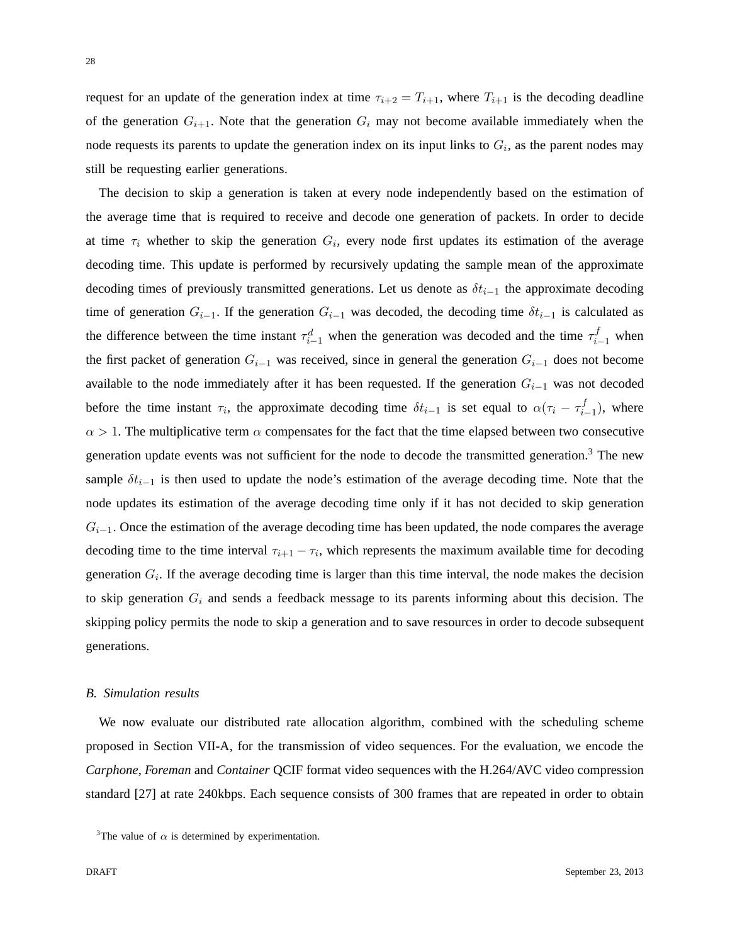28

request for an update of the generation index at time  $\tau_{i+2} = T_{i+1}$ , where  $T_{i+1}$  is the decoding deadline of the generation  $G_{i+1}$ . Note that the generation  $G_i$  may not become available immediately when the node requests its parents to update the generation index on its input links to  $G_i$ , as the parent nodes may still be requesting earlier generations.

The decision to skip a generation is taken at every node independently based on the estimation of the average time that is required to receive and decode one generation of packets. In order to decide at time  $\tau_i$  whether to skip the generation  $G_i$ , every node first updates its estimation of the average decoding time. This update is performed by recursively updating the sample mean of the approximate decoding times of previously transmitted generations. Let us denote as  $\delta t_{i-1}$  the approximate decoding time of generation  $G_{i-1}$ . If the generation  $G_{i-1}$  was decoded, the decoding time  $\delta t_{i-1}$  is calculated as the difference between the time instant  $\tau_{i-1}^d$  when the generation was decoded and the time  $\tau_{i-1}^f$  when the first packet of generation  $G_{i-1}$  was received, since in general the generation  $G_{i-1}$  does not become available to the node immediately after it has been requested. If the generation  $G_{i-1}$  was not decoded before the time instant  $\tau_i$ , the approximate decoding time  $\delta t_{i-1}$  is set equal to  $\alpha(\tau_i - \tau_i^f)$  $\binom{J}{i-1}$ , where  $\alpha > 1$ . The multiplicative term  $\alpha$  compensates for the fact that the time elapsed between two consecutive generation update events was not sufficient for the node to decode the transmitted generation.<sup>3</sup> The new sample  $\delta t_{i-1}$  is then used to update the node's estimation of the average decoding time. Note that the node updates its estimation of the average decoding time only if it has not decided to skip generation  $G_{i-1}$ . Once the estimation of the average decoding time has been updated, the node compares the average decoding time to the time interval  $\tau_{i+1} - \tau_i$ , which represents the maximum available time for decoding generation  $G_i$ . If the average decoding time is larger than this time interval, the node makes the decision to skip generation  $G_i$  and sends a feedback message to its parents informing about this decision. The skipping policy permits the node to skip a generation and to save resources in order to decode subsequent generations.

## *B. Simulation results*

We now evaluate our distributed rate allocation algorithm, combined with the scheduling scheme proposed in Section VII-A, for the transmission of video sequences. For the evaluation, we encode the *Carphone*, *Foreman* and *Container* QCIF format video sequences with the H.264/AVC video compression standard [27] at rate 240kbps. Each sequence consists of 300 frames that are repeated in order to obtain

<sup>&</sup>lt;sup>3</sup>The value of  $\alpha$  is determined by experimentation.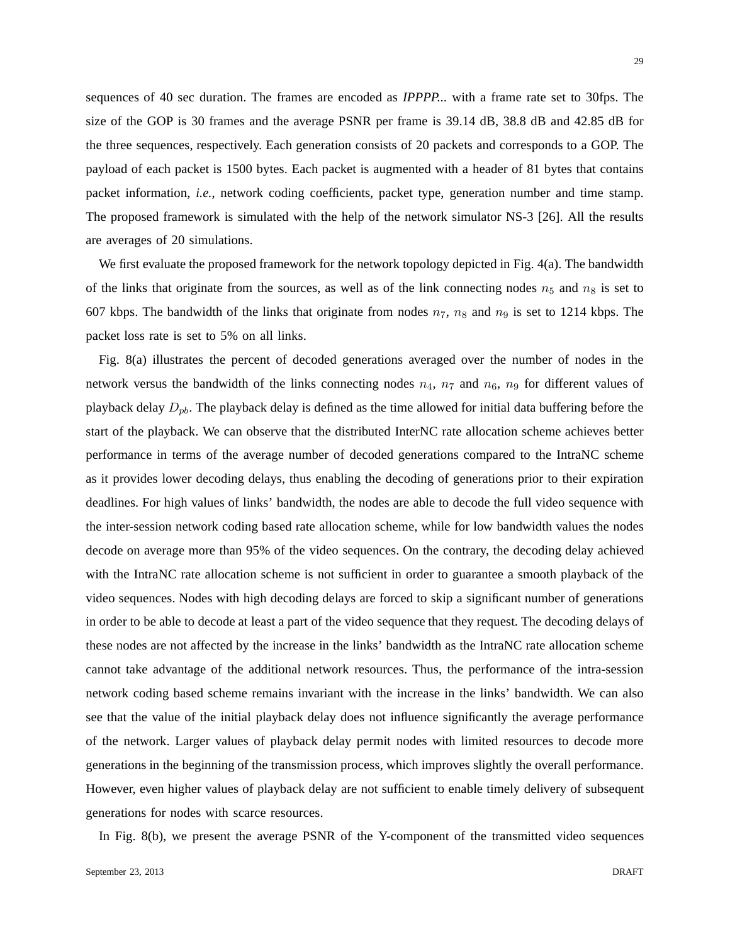sequences of 40 sec duration. The frames are encoded as *IPPPP...* with a frame rate set to 30fps. The size of the GOP is 30 frames and the average PSNR per frame is 39.14 dB, 38.8 dB and 42.85 dB for the three sequences, respectively. Each generation consists of 20 packets and corresponds to a GOP. The payload of each packet is 1500 bytes. Each packet is augmented with a header of 81 bytes that contains packet information, *i.e.*, network coding coefficients, packet type, generation number and time stamp. The proposed framework is simulated with the help of the network simulator NS-3 [26]. All the results are averages of 20 simulations.

We first evaluate the proposed framework for the network topology depicted in Fig. 4(a). The bandwidth of the links that originate from the sources, as well as of the link connecting nodes  $n_5$  and  $n_8$  is set to 607 kbps. The bandwidth of the links that originate from nodes  $n_7$ ,  $n_8$  and  $n_9$  is set to 1214 kbps. The packet loss rate is set to 5% on all links.

Fig. 8(a) illustrates the percent of decoded generations averaged over the number of nodes in the network versus the bandwidth of the links connecting nodes  $n_4$ ,  $n_7$  and  $n_6$ ,  $n_9$  for different values of playback delay  $D_{pb}$ . The playback delay is defined as the time allowed for initial data buffering before the start of the playback. We can observe that the distributed InterNC rate allocation scheme achieves better performance in terms of the average number of decoded generations compared to the IntraNC scheme as it provides lower decoding delays, thus enabling the decoding of generations prior to their expiration deadlines. For high values of links' bandwidth, the nodes are able to decode the full video sequence with the inter-session network coding based rate allocation scheme, while for low bandwidth values the nodes decode on average more than 95% of the video sequences. On the contrary, the decoding delay achieved with the IntraNC rate allocation scheme is not sufficient in order to guarantee a smooth playback of the video sequences. Nodes with high decoding delays are forced to skip a significant number of generations in order to be able to decode at least a part of the video sequence that they request. The decoding delays of these nodes are not affected by the increase in the links' bandwidth as the IntraNC rate allocation scheme cannot take advantage of the additional network resources. Thus, the performance of the intra-session network coding based scheme remains invariant with the increase in the links' bandwidth. We can also see that the value of the initial playback delay does not influence significantly the average performance of the network. Larger values of playback delay permit nodes with limited resources to decode more generations in the beginning of the transmission process, which improves slightly the overall performance. However, even higher values of playback delay are not sufficient to enable timely delivery of subsequent generations for nodes with scarce resources.

In Fig. 8(b), we present the average PSNR of the Y-component of the transmitted video sequences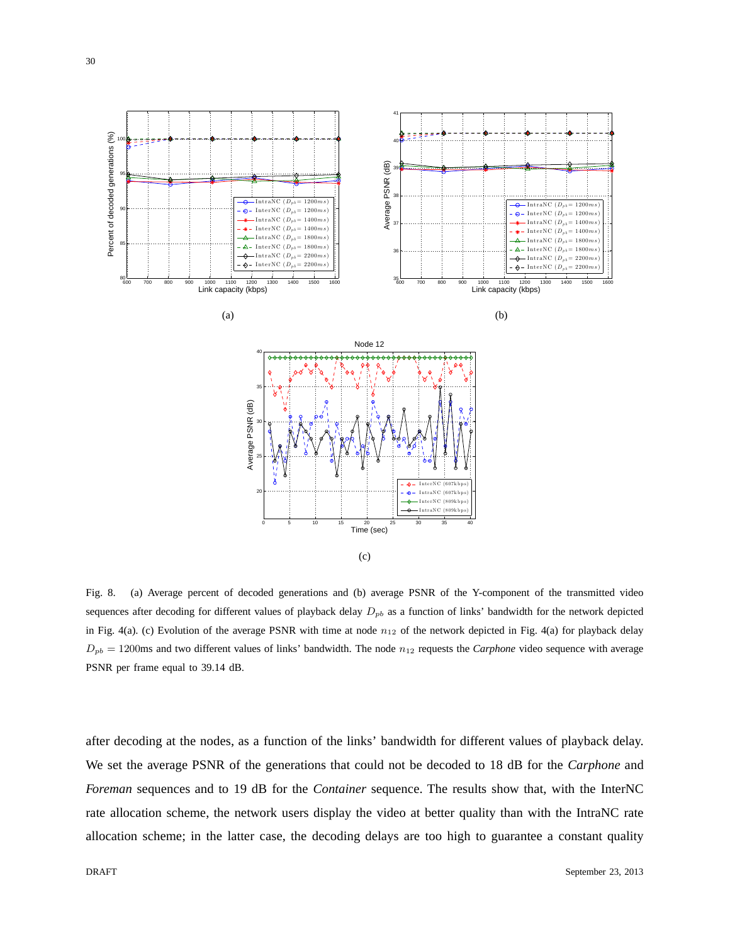

Fig. 8. (a) Average percent of decoded generations and (b) average PSNR of the Y-component of the transmitted video sequences after decoding for different values of playback delay  $D_{pb}$  as a function of links' bandwidth for the network depicted in Fig. 4(a). (c) Evolution of the average PSNR with time at node  $n_{12}$  of the network depicted in Fig. 4(a) for playback delay  $D_{pb} = 1200$ ms and two different values of links' bandwidth. The node  $n_{12}$  requests the *Carphone* video sequence with average PSNR per frame equal to 39.14 dB.

after decoding at the nodes, as a function of the links' bandwidth for different values of playback delay. We set the average PSNR of the generations that could not be decoded to 18 dB for the *Carphone* and *Foreman* sequences and to 19 dB for the *Container* sequence. The results show that, with the InterNC rate allocation scheme, the network users display the video at better quality than with the IntraNC rate allocation scheme; in the latter case, the decoding delays are too high to guarantee a constant quality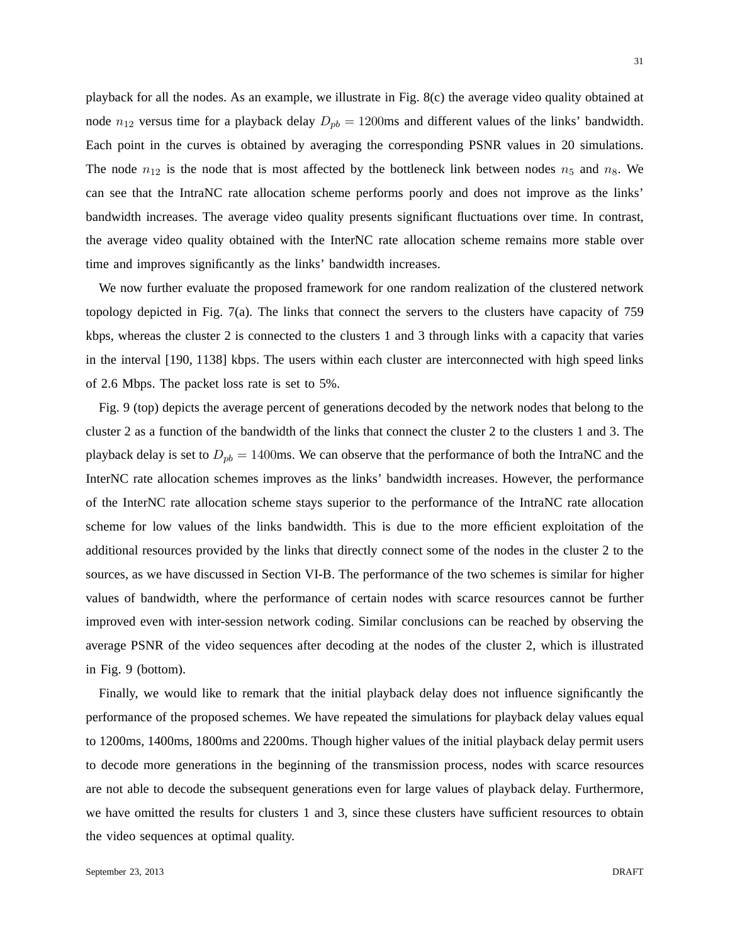playback for all the nodes. As an example, we illustrate in Fig. 8(c) the average video quality obtained at node  $n_{12}$  versus time for a playback delay  $D_{pb} = 1200$ ms and different values of the links' bandwidth. Each point in the curves is obtained by averaging the corresponding PSNR values in 20 simulations. The node  $n_{12}$  is the node that is most affected by the bottleneck link between nodes  $n_5$  and  $n_8$ . We can see that the IntraNC rate allocation scheme performs poorly and does not improve as the links' bandwidth increases. The average video quality presents significant fluctuations over time. In contrast, the average video quality obtained with the InterNC rate allocation scheme remains more stable over time and improves significantly as the links' bandwidth increases.

We now further evaluate the proposed framework for one random realization of the clustered network topology depicted in Fig. 7(a). The links that connect the servers to the clusters have capacity of 759 kbps, whereas the cluster 2 is connected to the clusters 1 and 3 through links with a capacity that varies in the interval [190, 1138] kbps. The users within each cluster are interconnected with high speed links of 2.6 Mbps. The packet loss rate is set to 5%.

Fig. 9 (top) depicts the average percent of generations decoded by the network nodes that belong to the cluster 2 as a function of the bandwidth of the links that connect the cluster 2 to the clusters 1 and 3. The playback delay is set to  $D_{pb} = 1400$ ms. We can observe that the performance of both the IntraNC and the InterNC rate allocation schemes improves as the links' bandwidth increases. However, the performance of the InterNC rate allocation scheme stays superior to the performance of the IntraNC rate allocation scheme for low values of the links bandwidth. This is due to the more efficient exploitation of the additional resources provided by the links that directly connect some of the nodes in the cluster 2 to the sources, as we have discussed in Section VI-B. The performance of the two schemes is similar for higher values of bandwidth, where the performance of certain nodes with scarce resources cannot be further improved even with inter-session network coding. Similar conclusions can be reached by observing the average PSNR of the video sequences after decoding at the nodes of the cluster 2, which is illustrated in Fig. 9 (bottom).

Finally, we would like to remark that the initial playback delay does not influence significantly the performance of the proposed schemes. We have repeated the simulations for playback delay values equal to 1200ms, 1400ms, 1800ms and 2200ms. Though higher values of the initial playback delay permit users to decode more generations in the beginning of the transmission process, nodes with scarce resources are not able to decode the subsequent generations even for large values of playback delay. Furthermore, we have omitted the results for clusters 1 and 3, since these clusters have sufficient resources to obtain the video sequences at optimal quality.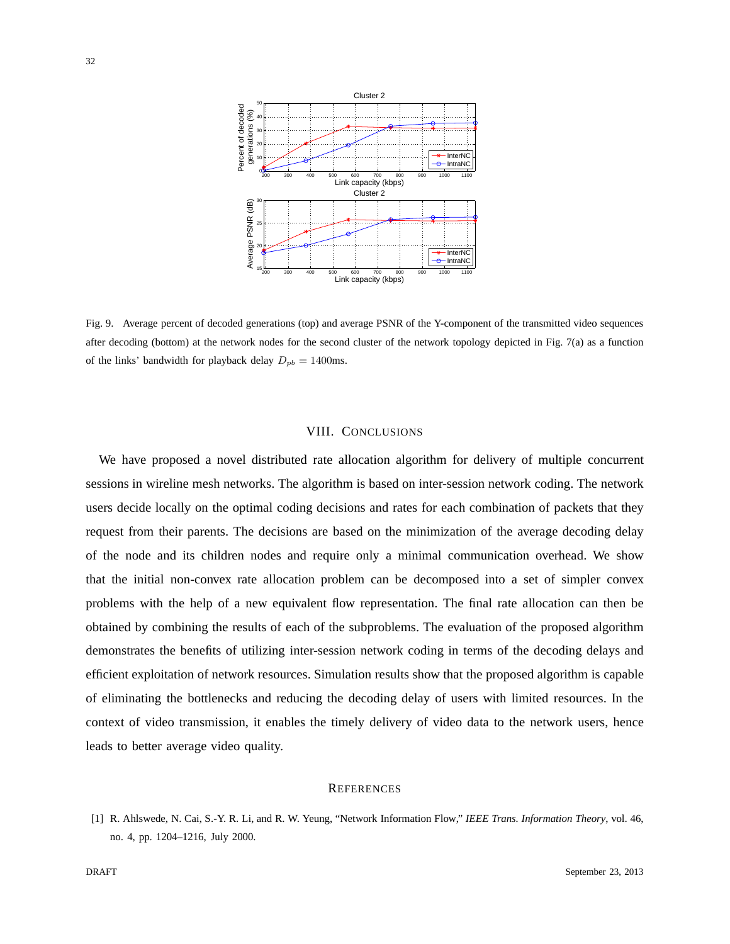

Fig. 9. Average percent of decoded generations (top) and average PSNR of the Y-component of the transmitted video sequences after decoding (bottom) at the network nodes for the second cluster of the network topology depicted in Fig. 7(a) as a function of the links' bandwidth for playback delay  $D_{pb} = 1400$ ms.

## VIII. CONCLUSIONS

We have proposed a novel distributed rate allocation algorithm for delivery of multiple concurrent sessions in wireline mesh networks. The algorithm is based on inter-session network coding. The network users decide locally on the optimal coding decisions and rates for each combination of packets that they request from their parents. The decisions are based on the minimization of the average decoding delay of the node and its children nodes and require only a minimal communication overhead. We show that the initial non-convex rate allocation problem can be decomposed into a set of simpler convex problems with the help of a new equivalent flow representation. The final rate allocation can then be obtained by combining the results of each of the subproblems. The evaluation of the proposed algorithm demonstrates the benefits of utilizing inter-session network coding in terms of the decoding delays and efficient exploitation of network resources. Simulation results show that the proposed algorithm is capable of eliminating the bottlenecks and reducing the decoding delay of users with limited resources. In the context of video transmission, it enables the timely delivery of video data to the network users, hence leads to better average video quality.

#### **REFERENCES**

[1] R. Ahlswede, N. Cai, S.-Y. R. Li, and R. W. Yeung, "Network Information Flow," *IEEE Trans. Information Theory*, vol. 46, no. 4, pp. 1204–1216, July 2000.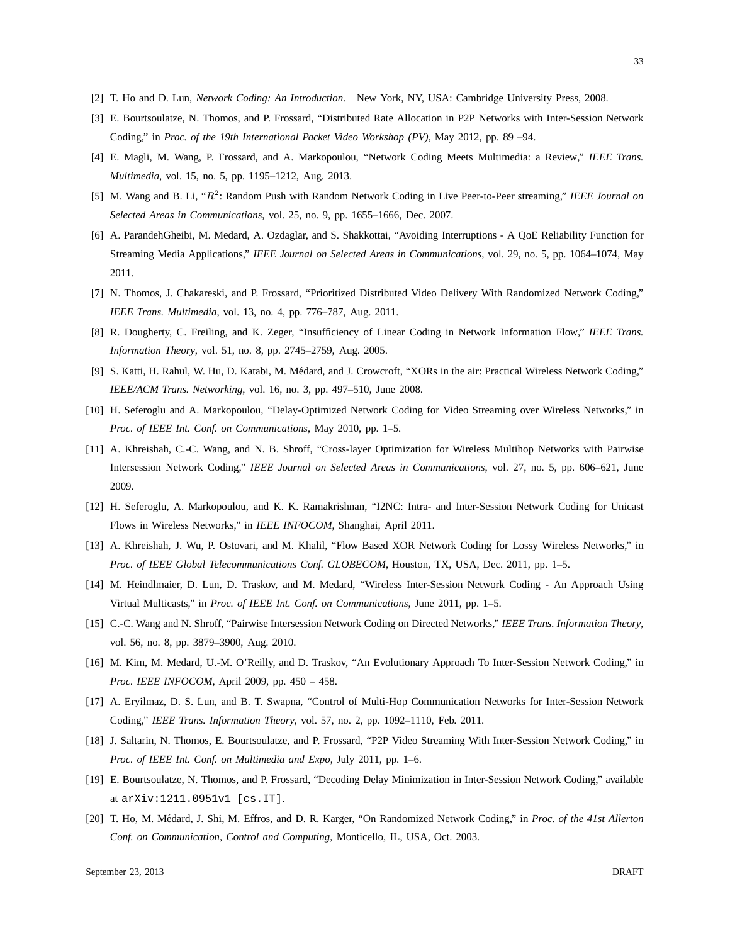- [2] T. Ho and D. Lun, *Network Coding: An Introduction*. New York, NY, USA: Cambridge University Press, 2008.
- [3] E. Bourtsoulatze, N. Thomos, and P. Frossard, "Distributed Rate Allocation in P2P Networks with Inter-Session Network Coding," in *Proc. of the 19th International Packet Video Workshop (PV)*, May 2012, pp. 89 –94.
- [4] E. Magli, M. Wang, P. Frossard, and A. Markopoulou, "Network Coding Meets Multimedia: a Review," *IEEE Trans. Multimedia*, vol. 15, no. 5, pp. 1195–1212, Aug. 2013.
- [5] M. Wang and B. Li, "R 2 : Random Push with Random Network Coding in Live Peer-to-Peer streaming," *IEEE Journal on Selected Areas in Communications*, vol. 25, no. 9, pp. 1655–1666, Dec. 2007.
- [6] A. ParandehGheibi, M. Medard, A. Ozdaglar, and S. Shakkottai, "Avoiding Interruptions A QoE Reliability Function for Streaming Media Applications," *IEEE Journal on Selected Areas in Communications*, vol. 29, no. 5, pp. 1064–1074, May 2011.
- [7] N. Thomos, J. Chakareski, and P. Frossard, "Prioritized Distributed Video Delivery With Randomized Network Coding," *IEEE Trans. Multimedia*, vol. 13, no. 4, pp. 776–787, Aug. 2011.
- [8] R. Dougherty, C. Freiling, and K. Zeger, "Insufficiency of Linear Coding in Network Information Flow," *IEEE Trans. Information Theory*, vol. 51, no. 8, pp. 2745–2759, Aug. 2005.
- [9] S. Katti, H. Rahul, W. Hu, D. Katabi, M. Médard, and J. Crowcroft, "XORs in the air: Practical Wireless Network Coding," *IEEE/ACM Trans. Networking*, vol. 16, no. 3, pp. 497–510, June 2008.
- [10] H. Seferoglu and A. Markopoulou, "Delay-Optimized Network Coding for Video Streaming over Wireless Networks," in *Proc. of IEEE Int. Conf. on Communications*, May 2010, pp. 1–5.
- [11] A. Khreishah, C.-C. Wang, and N. B. Shroff, "Cross-layer Optimization for Wireless Multihop Networks with Pairwise Intersession Network Coding," *IEEE Journal on Selected Areas in Communications*, vol. 27, no. 5, pp. 606–621, June 2009.
- [12] H. Seferoglu, A. Markopoulou, and K. K. Ramakrishnan, "I2NC: Intra- and Inter-Session Network Coding for Unicast Flows in Wireless Networks," in *IEEE INFOCOM*, Shanghai, April 2011.
- [13] A. Khreishah, J. Wu, P. Ostovari, and M. Khalil, "Flow Based XOR Network Coding for Lossy Wireless Networks," in *Proc. of IEEE Global Telecommunications Conf. GLOBECOM*, Houston, TX, USA, Dec. 2011, pp. 1–5.
- [14] M. Heindlmaier, D. Lun, D. Traskov, and M. Medard, "Wireless Inter-Session Network Coding An Approach Using Virtual Multicasts," in *Proc. of IEEE Int. Conf. on Communications*, June 2011, pp. 1–5.
- [15] C.-C. Wang and N. Shroff, "Pairwise Intersession Network Coding on Directed Networks," *IEEE Trans. Information Theory*, vol. 56, no. 8, pp. 3879–3900, Aug. 2010.
- [16] M. Kim, M. Medard, U.-M. O'Reilly, and D. Traskov, "An Evolutionary Approach To Inter-Session Network Coding," in *Proc. IEEE INFOCOM*, April 2009, pp. 450 – 458.
- [17] A. Eryilmaz, D. S. Lun, and B. T. Swapna, "Control of Multi-Hop Communication Networks for Inter-Session Network Coding," *IEEE Trans. Information Theory*, vol. 57, no. 2, pp. 1092–1110, Feb. 2011.
- [18] J. Saltarin, N. Thomos, E. Bourtsoulatze, and P. Frossard, "P2P Video Streaming With Inter-Session Network Coding," in *Proc. of IEEE Int. Conf. on Multimedia and Expo*, July 2011, pp. 1–6.
- [19] E. Bourtsoulatze, N. Thomos, and P. Frossard, "Decoding Delay Minimization in Inter-Session Network Coding," available at arXiv:1211.0951v1 [cs.IT].
- [20] T. Ho, M. M´edard, J. Shi, M. Effros, and D. R. Karger, "On Randomized Network Coding," in *Proc. of the 41st Allerton Conf. on Communication, Control and Computing*, Monticello, IL, USA, Oct. 2003.